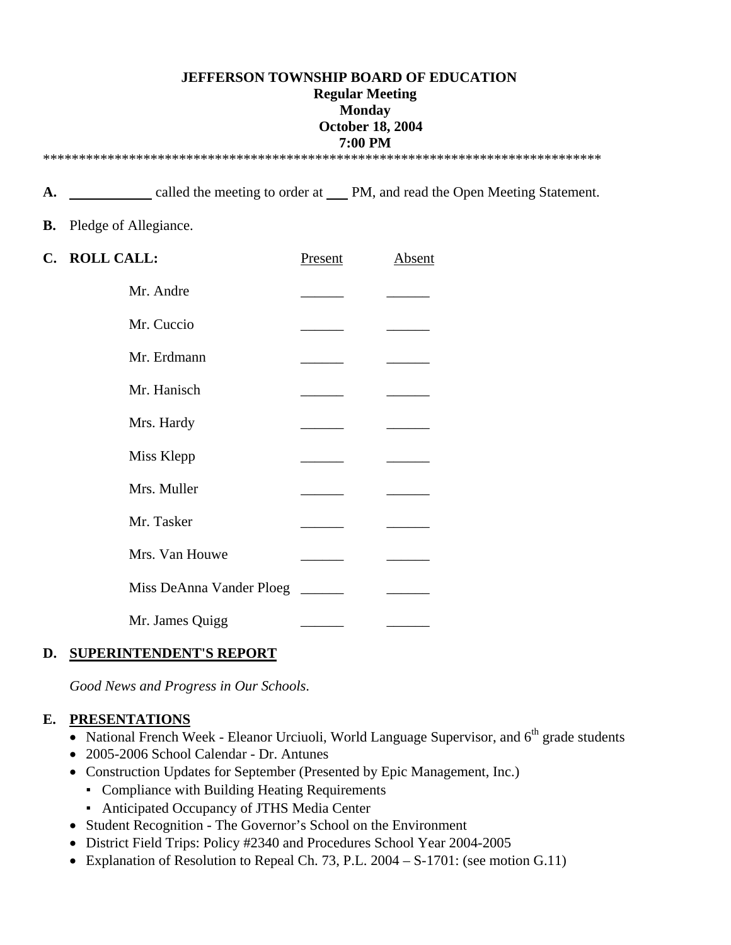### **JEFFERSON TOWNSHIP BOARD OF EDUCATION Regular Meeting Monday October 18, 2004 7:00 PM**  \*\*\*\*\*\*\*\*\*\*\*\*\*\*\*\*\*\*\*\*\*\*\*\*\*\*\*\*\*\*\*\*\*\*\*\*\*\*\*\*\*\*\*\*\*\*\*\*\*\*\*\*\*\*\*\*\*\*\*\*\*\*\*\*\*\*\*\*\*\*\*\*\*\*\*\*\*\*

A.  $\qquad \qquad$  called the meeting to order at PM, and read the Open Meeting Statement.

### **B.** Pledge of Allegiance.

| C. ROLL CALL:            | Present | Absent |
|--------------------------|---------|--------|
| Mr. Andre                |         |        |
| Mr. Cuccio               |         |        |
| Mr. Erdmann              |         |        |
| Mr. Hanisch              |         |        |
| Mrs. Hardy               |         |        |
| Miss Klepp               |         |        |
| Mrs. Muller              |         |        |
| Mr. Tasker               |         |        |
| Mrs. Van Houwe           |         |        |
| Miss DeAnna Vander Ploeg |         |        |
| Mr. James Quigg          |         |        |

## **D. SUPERINTENDENT'S REPORT**

*Good News and Progress in Our Schools*.

### **E. PRESENTATIONS**

- National French Week Eleanor Urciuoli, World Language Supervisor, and 6<sup>th</sup> grade students
- 2005-2006 School Calendar Dr. Antunes
- Construction Updates for September (Presented by Epic Management, Inc.)
	- Compliance with Building Heating Requirements
	- Anticipated Occupancy of JTHS Media Center
- Student Recognition The Governor's School on the Environment
- District Field Trips: Policy #2340 and Procedures School Year 2004-2005
- Explanation of Resolution to Repeal Ch. 73, P.L. 2004 S-1701: (see motion G.11)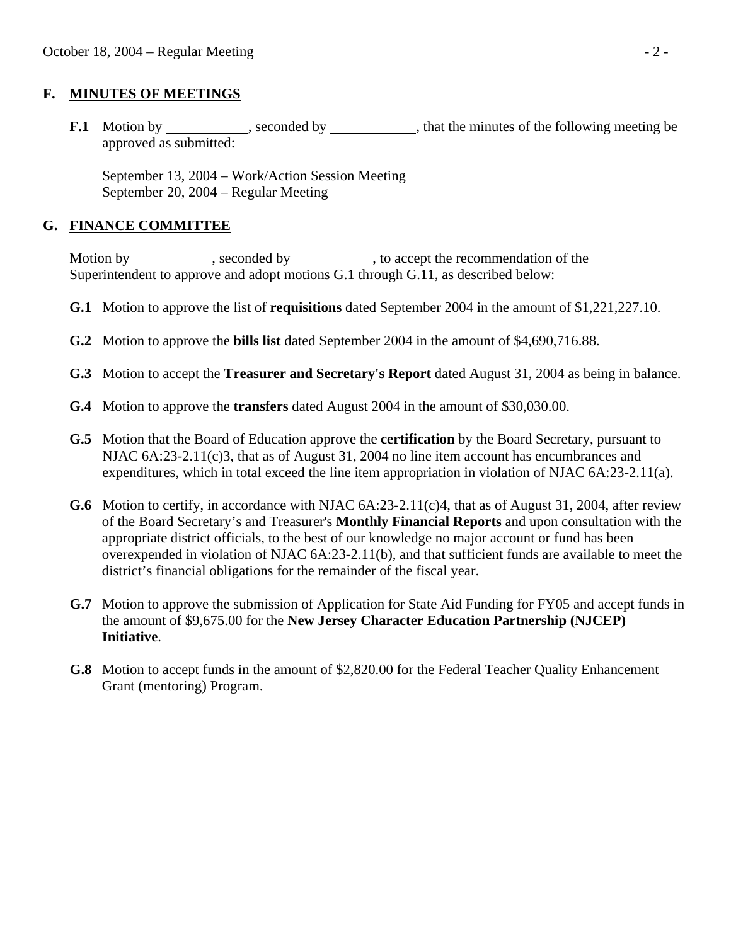### **F. MINUTES OF MEETINGS**

**F.1** Motion by seconded by seconded by that the minutes of the following meeting be approved as submitted:

 September 13, 2004 – Work/Action Session Meeting September 20, 2004 – Regular Meeting

### **G. FINANCE COMMITTEE**

Motion by \_\_\_\_\_\_\_\_\_\_, seconded by \_\_\_\_\_\_\_\_\_, to accept the recommendation of the Superintendent to approve and adopt motions G.1 through G.11, as described below:

- **G.1** Motion to approve the list of **requisitions** dated September 2004 in the amount of \$1,221,227.10.
- **G.2** Motion to approve the **bills list** dated September 2004 in the amount of \$4,690,716.88.
- **G.3** Motion to accept the **Treasurer and Secretary's Report** dated August 31, 2004 as being in balance.
- **G.4** Motion to approve the **transfers** dated August 2004 in the amount of \$30,030.00.
- **G.5** Motion that the Board of Education approve the **certification** by the Board Secretary, pursuant to NJAC 6A:23-2.11(c)3, that as of August 31, 2004 no line item account has encumbrances and expenditures, which in total exceed the line item appropriation in violation of NJAC 6A:23-2.11(a).
- **G.6** Motion to certify, in accordance with NJAC 6A:23-2.11(c)4, that as of August 31, 2004, after review of the Board Secretary's and Treasurer's **Monthly Financial Reports** and upon consultation with the appropriate district officials, to the best of our knowledge no major account or fund has been overexpended in violation of NJAC 6A:23-2.11(b), and that sufficient funds are available to meet the district's financial obligations for the remainder of the fiscal year.
- **G.7** Motion to approve the submission of Application for State Aid Funding for FY05 and accept funds in the amount of \$9,675.00 for the **New Jersey Character Education Partnership (NJCEP) Initiative**.
- **G.8** Motion to accept funds in the amount of \$2,820.00 for the Federal Teacher Quality Enhancement Grant (mentoring) Program.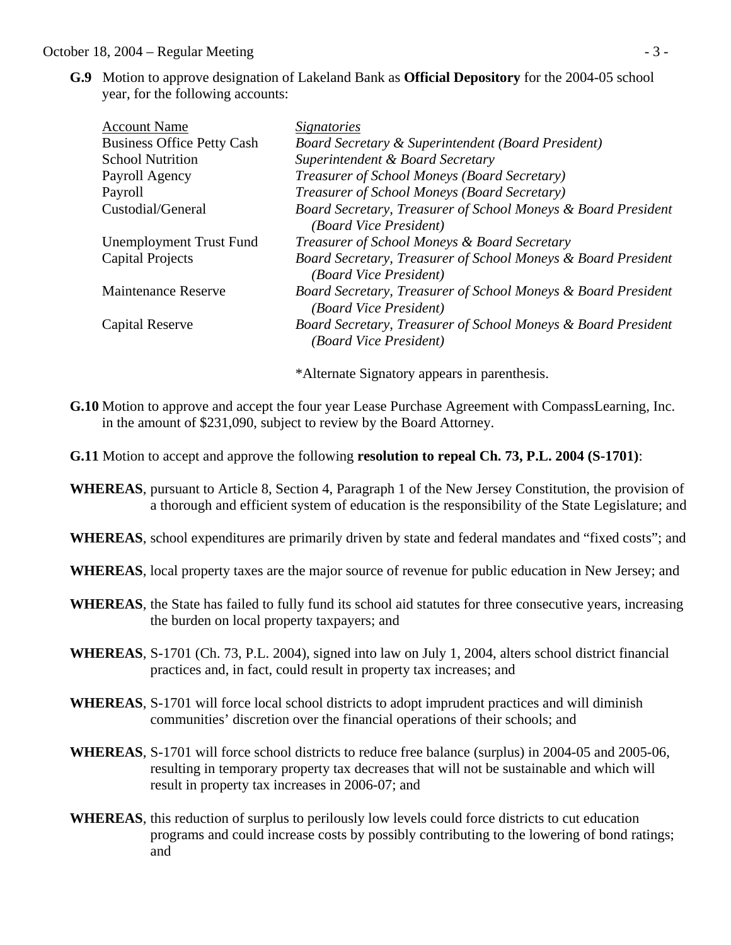### October 18, 2004 – Regular Meeting - 3 -

 **G.9** Motion to approve designation of Lakeland Bank as **Official Depository** for the 2004-05 school year, for the following accounts:

| <b>Account Name</b>               | <i>Signatories</i>                                                                      |
|-----------------------------------|-----------------------------------------------------------------------------------------|
| <b>Business Office Petty Cash</b> | <b>Board Secretary &amp; Superintendent (Board President)</b>                           |
| <b>School Nutrition</b>           | Superintendent & Board Secretary                                                        |
| Payroll Agency                    | Treasurer of School Moneys (Board Secretary)                                            |
| Payroll                           | Treasurer of School Moneys (Board Secretary)                                            |
| Custodial/General                 | Board Secretary, Treasurer of School Moneys & Board President<br>(Board Vice President) |
| Unemployment Trust Fund           | Treasurer of School Moneys & Board Secretary                                            |
| Capital Projects                  | Board Secretary, Treasurer of School Moneys & Board President<br>(Board Vice President) |
| <b>Maintenance Reserve</b>        | Board Secretary, Treasurer of School Moneys & Board President<br>(Board Vice President) |
| Capital Reserve                   | Board Secretary, Treasurer of School Moneys & Board President<br>(Board Vice President) |
|                                   |                                                                                         |

\*Alternate Signatory appears in parenthesis.

- **G.10** Motion to approve and accept the four year Lease Purchase Agreement with CompassLearning, Inc. in the amount of \$231,090, subject to review by the Board Attorney.
- **G.11** Motion to accept and approve the following **resolution to repeal Ch. 73, P.L. 2004 (S-1701)**:
- **WHEREAS**, pursuant to Article 8, Section 4, Paragraph 1 of the New Jersey Constitution, the provision of a thorough and efficient system of education is the responsibility of the State Legislature; and
- **WHEREAS**, school expenditures are primarily driven by state and federal mandates and "fixed costs"; and
- **WHEREAS**, local property taxes are the major source of revenue for public education in New Jersey; and
- **WHEREAS**, the State has failed to fully fund its school aid statutes for three consecutive years, increasing the burden on local property taxpayers; and
- **WHEREAS**, S-1701 (Ch. 73, P.L. 2004), signed into law on July 1, 2004, alters school district financial practices and, in fact, could result in property tax increases; and
- **WHEREAS**, S-1701 will force local school districts to adopt imprudent practices and will diminish communities' discretion over the financial operations of their schools; and
- **WHEREAS**, S-1701 will force school districts to reduce free balance (surplus) in 2004-05 and 2005-06, resulting in temporary property tax decreases that will not be sustainable and which will result in property tax increases in 2006-07; and
- **WHEREAS**, this reduction of surplus to perilously low levels could force districts to cut education programs and could increase costs by possibly contributing to the lowering of bond ratings; and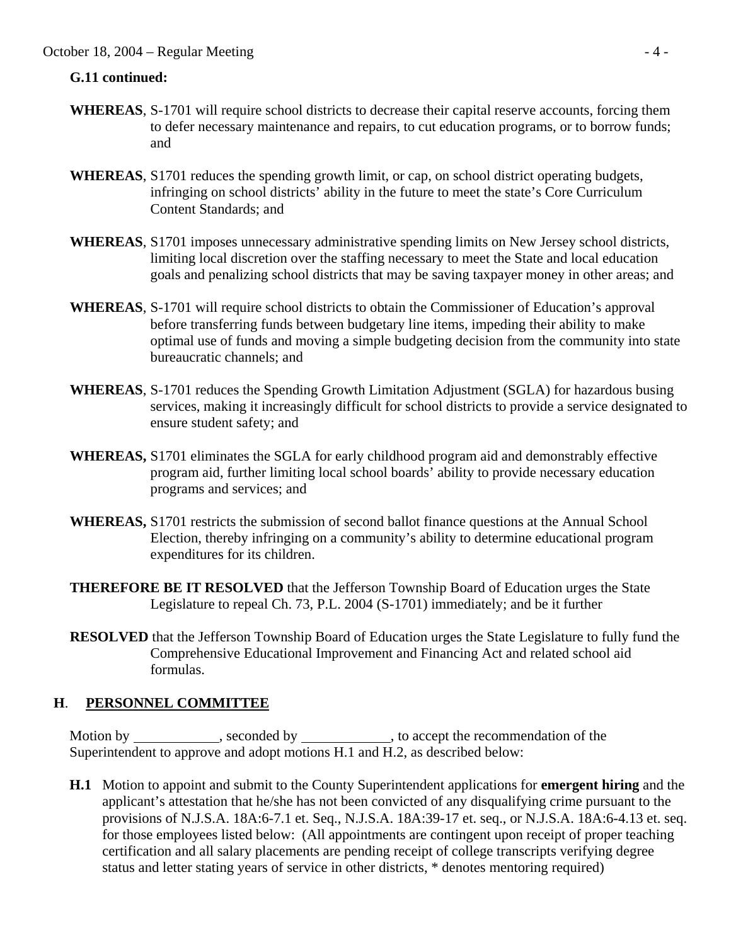### October 18, 2004 – Regular Meeting - 4 -

#### **G.11 continued:**

- **WHEREAS**, S-1701 will require school districts to decrease their capital reserve accounts, forcing them to defer necessary maintenance and repairs, to cut education programs, or to borrow funds; and
- **WHEREAS**, S1701 reduces the spending growth limit, or cap, on school district operating budgets, infringing on school districts' ability in the future to meet the state's Core Curriculum Content Standards; and
- **WHEREAS**, S1701 imposes unnecessary administrative spending limits on New Jersey school districts, limiting local discretion over the staffing necessary to meet the State and local education goals and penalizing school districts that may be saving taxpayer money in other areas; and
- **WHEREAS**, S-1701 will require school districts to obtain the Commissioner of Education's approval before transferring funds between budgetary line items, impeding their ability to make optimal use of funds and moving a simple budgeting decision from the community into state bureaucratic channels; and
- **WHEREAS**, S-1701 reduces the Spending Growth Limitation Adjustment (SGLA) for hazardous busing services, making it increasingly difficult for school districts to provide a service designated to ensure student safety; and
- **WHEREAS,** S1701 eliminates the SGLA for early childhood program aid and demonstrably effective program aid, further limiting local school boards' ability to provide necessary education programs and services; and
- **WHEREAS,** S1701 restricts the submission of second ballot finance questions at the Annual School Election, thereby infringing on a community's ability to determine educational program expenditures for its children.
- **THEREFORE BE IT RESOLVED** that the Jefferson Township Board of Education urges the State Legislature to repeal Ch. 73, P.L. 2004 (S-1701) immediately; and be it further
- **RESOLVED** that the Jefferson Township Board of Education urges the State Legislature to fully fund the Comprehensive Educational Improvement and Financing Act and related school aid formulas.

### **H**. **PERSONNEL COMMITTEE**

Motion by \_\_\_\_\_\_\_\_\_\_, seconded by \_\_\_\_\_\_\_\_\_, to accept the recommendation of the Superintendent to approve and adopt motions H.1 and H.2, as described below:

 **H.1** Motion to appoint and submit to the County Superintendent applications for **emergent hiring** and the applicant's attestation that he/she has not been convicted of any disqualifying crime pursuant to the provisions of N.J.S.A. 18A:6-7.1 et. Seq., N.J.S.A. 18A:39-17 et. seq., or N.J.S.A. 18A:6-4.13 et. seq. for those employees listed below: (All appointments are contingent upon receipt of proper teaching certification and all salary placements are pending receipt of college transcripts verifying degree status and letter stating years of service in other districts, \* denotes mentoring required)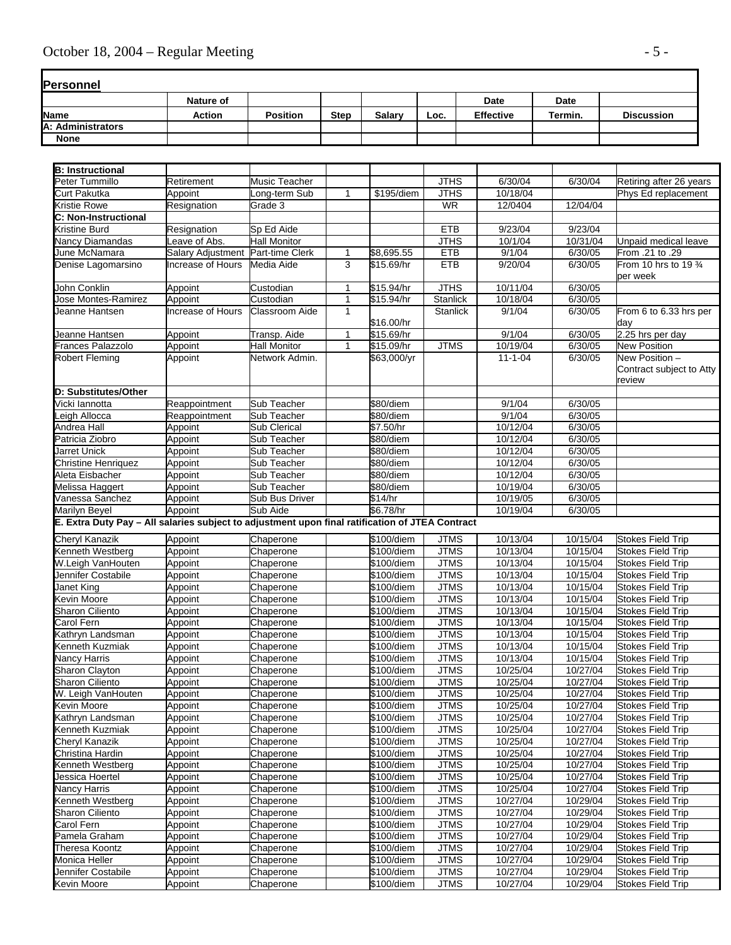# October 18, 2004 – Regular Meeting  $-5$  -

| Personnel         |                  |                 |             |        |      |                  |         |                   |
|-------------------|------------------|-----------------|-------------|--------|------|------------------|---------|-------------------|
|                   | <b>Nature of</b> |                 |             |        |      | <b>Date</b>      | Date    |                   |
| <b>Name</b>       | <b>Action</b>    | <b>Position</b> | <b>Step</b> | Salary | Loc. | <b>Effective</b> | Termin. | <b>Discussion</b> |
| A: Administrators |                  |                 |             |        |      |                  |         |                   |
| <b>None</b>       |                  |                 |             |        |      |                  |         |                   |

| Peter Tummillo<br>Music Teacher<br><b>JTHS</b><br>6/30/04<br>6/30/04<br>Retirement<br>Retiring after 26 years<br><b>JTHS</b><br>10/18/04<br>Curt Pakutka<br>ong-term Sub<br>\$195/diem<br>Phys Ed replacement<br>Appoint<br>1<br>Grade 3<br><b>WR</b><br>12/0404<br>12/04/04<br>Kristie Rowe<br>Resignation<br>Resignation<br>Sp Ed Aide<br><b>ETB</b><br>9/23/04<br>9/23/04<br>Kristine Burd<br>10/31/04<br>eave of Abs.<br><b>Hall Monitor</b><br><b>JTHS</b><br>10/1/04<br>Nancy Diamandas<br>Unpaid medical leave<br><b>ETB</b><br>9/1/04<br>June McNamara<br>Salary Adjustment Part-time Clerk<br>\$8,695.55<br>6/30/05<br>From .21 to .29<br>1<br>3<br>$$15.69$ /hr<br><b>ETB</b><br>9/20/04<br>Denise Lagomarsino<br>Increase of Hours<br>Media Aide<br>6/30/05<br>From 10 hrs to 19 $\frac{3}{4}$<br>per week<br>\$15.94/hr<br><b>JTHS</b><br>10/11/04<br>6/30/05<br>John Conklin<br>Appoint<br>Custodian<br>1<br>Stanlick<br>10/18/04<br>Jose Montes-Ramirez<br>Appoint<br>Custodian<br>$\mathbf{1}$<br>\$15.94/hr<br>6/30/05<br>Increase of Hours<br><b>Classroom Aide</b><br>9/1/04<br>Jeanne Hantsen<br><b>Stanlick</b><br>6/30/05<br>From 6 to 6.33 hrs per<br>$\mathbf{1}$<br>\$16.00/hr<br>day<br>9/1/04<br>2.25 hrs per day<br>Jeanne Hantsen<br>Appoint<br>Transp. Aide<br>\$15.69/hr<br>6/30/05<br>$\mathbf{1}$<br>Frances Palazzolo<br><b>Hall Monitor</b><br>\$15.09/hr<br><b>JTMS</b><br>10/19/04<br>6/30/05<br><b>New Position</b><br>Appoint<br>$\mathbf{1}$<br>New Position -<br><b>Robert Fleming</b><br>Appoint<br>Network Admin.<br>\$63,000/yr<br>$11 - 1 - 04$<br>6/30/05<br>Contract subject to Atty<br>review<br>Vicki lannotta<br>Sub Teacher<br>\$80/diem<br>9/1/04<br>6/30/05<br>Reappointment<br>9/1/04<br>6/30/05<br>eigh Allocca<br>Reappointment<br>Sub Teacher<br>\$80/diem<br>10/12/04<br>Andrea Hall<br>Sub Clerical<br>\$7.50/hr<br>6/30/05<br>Appoint<br>10/12/04<br>6/30/05<br>\$80/diem<br>Patricia Ziobro<br>Appoint<br>Sub Teacher<br>Jarret Unick<br>\$80/diem<br>10/12/04<br>6/30/05<br>Appoint<br>Sub Teacher<br>10/12/04<br>Sub Teacher<br>\$80/diem<br>6/30/05<br><b>Christine Henriquez</b><br>Appoint<br>\$80/diem<br>10/12/04<br>6/30/05<br>Appoint<br>Sub Teacher<br>Aleta Eisbacher<br>10/19/04<br>6/30/05<br>Appoint<br>Sub Teacher<br>\$80/diem<br>10/19/05<br>6/30/05<br>Vanessa Sanchez<br>Appoint<br>Sub Bus Driver<br>\$14/hr<br>Appoint<br>Sub Aide<br>\$6.78/hr<br>10/19/04<br>6/30/05<br>E. Extra Duty Pay - All salaries subject to adjustment upon final ratification of JTEA Contract<br>Cheryl Kanazik<br>Appoint<br>\$100/diem<br><b>JTMS</b><br>10/13/04<br><b>Stokes Field Trip</b><br>Chaperone<br>10/15/04<br>10/13/04<br>10/15/04<br>\$100/diem<br><b>JTMS</b><br><b>Stokes Field Trip</b><br>Kenneth Westberg<br>Appoint<br>Chaperone<br><b>JTMS</b><br>10/13/04<br>W.Leigh VanHouten<br>Appoint<br>Chaperone<br>\$100/diem<br>10/15/04<br><b>Stokes Field Trip</b><br><b>JTMS</b><br>Jennifer Costabile<br>Appoint<br>Chaperone<br>\$100/diem<br>10/13/04<br>10/15/04<br><b>Stokes Field Trip</b><br><b>JTMS</b><br>10/13/04<br>10/15/04<br>Appoint<br>\$100/diem<br><b>Stokes Field Trip</b><br>Janet King<br>Chaperone<br><b>JTMS</b><br>10/13/04<br>10/15/04<br>Kevin Moore<br>Appoint<br>Chaperone<br>\$100/diem<br><b>Stokes Field Trip</b><br><b>JTMS</b><br>10/13/04<br>10/15/04<br>Sharon Ciliento<br>Appoint<br>Chaperone<br>\$100/diem<br><b>Stokes Field Trip</b><br><b>JTMS</b><br>Carol Fern<br>Appoint<br>$$100$ /diem<br>10/13/04<br>10/15/04<br>Chaperone<br><b>Stokes Field Trip</b><br><b>JTMS</b><br>10/13/04<br>10/15/04<br>Kathryn Landsman<br>Chaperone<br>\$100/diem<br><b>Stokes Field Trip</b><br>Appoint<br><b>JTMS</b><br>10/13/04<br>10/15/04<br>Kenneth Kuzmiak<br>Chaperone<br>\$100/diem<br><b>Stokes Field Trip</b><br>Appoint<br><b>JTMS</b><br>Nancy Harris<br>Appoint<br>\$100/diem<br>10/13/04<br>10/15/04<br><b>Stokes Field Trip</b><br>Chaperone<br><b>JTMS</b><br>10/25/04<br>\$100/diem<br>10/27/04<br><b>Stokes Field Trip</b><br>Appoint<br>Chaperone<br><b>JTMS</b><br>10/25/04<br>\$100/diem<br>10/27/04<br>Appoint<br>Chaperone<br><b>Stokes Field Trip</b><br>10/25/04<br>\$100/diem<br><b>JTMS</b><br>10/27/04<br>Appoint<br>Chaperone<br><b>Stokes Field Trip</b><br>Chaperone<br>\$100/diem<br><b>JTMS</b><br>10/25/04<br>10/27/04<br><b>Stokes Field Trip</b><br>Appoint<br><b>JTMS</b><br>10/25/04<br>10/27/04<br>Appoint<br>Chaperone<br>\$100/diem<br><b>Stokes Field Trip</b><br><b>JTMS</b><br>10/25/04<br>10/27/04<br>Appoint<br>\$100/diem<br><b>Stokes Field Trip</b><br>Chaperone<br>\$100/diem<br><b>JTMS</b><br>10/25/04<br>10/27/04<br>Chaperone<br><b>Stokes Field Trip</b><br>Appoint<br><b>JTMS</b><br>10/25/04<br>Appoint<br>\$100/diem<br>10/27/04<br>Stokes Field Trip<br>Chaperone<br><b>JTMS</b><br>10/25/04<br>10/27/04<br>Appoint<br>\$100/diem<br><b>Stokes Field Trip</b><br>Chaperone<br>Jessica Hoertel<br>Appoint<br>\$100/diem<br><b>JTMS</b><br>10/25/04<br>10/27/04<br><b>Stokes Field Trip</b><br>Chaperone<br><b>JTMS</b><br>10/25/04<br>Appoint<br>\$100/diem<br>10/27/04<br>Stokes Field Trip<br>Chaperone<br><b>JTMS</b><br>10/27/04<br>Appoint<br>Chaperone<br>\$100/diem<br>10/29/04<br><b>Stokes Field Trip</b><br>10/27/04<br>Appoint<br>\$100/diem<br><b>JTMS</b><br>10/29/04<br><b>Stokes Field Trip</b><br>Chaperone<br><b>JTMS</b><br>10/27/04<br>10/29/04<br>Appoint<br>\$100/diem<br>Stokes Field Trip<br>Carol Fern<br>Chaperone<br><b>JTMS</b><br>10/27/04<br>10/29/04<br>Appoint<br>Chaperone<br>\$100/diem<br><b>Stokes Field Trip</b><br><b>JTMS</b><br>10/27/04<br>10/29/04<br>Stokes Field Trip<br>Appoint<br>Chaperone<br>\$100/diem<br><b>JTMS</b><br>10/27/04<br>Appoint<br>\$100/diem<br>10/29/04<br><b>Stokes Field Trip</b><br>Chaperone<br><b>JTMS</b><br>10/27/04<br>10/29/04<br>Jennifer Costabile<br>Chaperone<br>\$100/diem<br><b>Stokes Field Trip</b><br>Appoint<br>Appoint<br><b>JTMS</b><br>10/27/04<br>10/29/04<br><b>Stokes Field Trip</b><br>Chaperone<br>\$100/diem | <b>B: Instructional</b>     |  |  |  |  |
|-----------------------------------------------------------------------------------------------------------------------------------------------------------------------------------------------------------------------------------------------------------------------------------------------------------------------------------------------------------------------------------------------------------------------------------------------------------------------------------------------------------------------------------------------------------------------------------------------------------------------------------------------------------------------------------------------------------------------------------------------------------------------------------------------------------------------------------------------------------------------------------------------------------------------------------------------------------------------------------------------------------------------------------------------------------------------------------------------------------------------------------------------------------------------------------------------------------------------------------------------------------------------------------------------------------------------------------------------------------------------------------------------------------------------------------------------------------------------------------------------------------------------------------------------------------------------------------------------------------------------------------------------------------------------------------------------------------------------------------------------------------------------------------------------------------------------------------------------------------------------------------------------------------------------------------------------------------------------------------------------------------------------------------------------------------------------------------------------------------------------------------------------------------------------------------------------------------------------------------------------------------------------------------------------------------------------------------------------------------------------------------------------------------------------------------------------------------------------------------------------------------------------------------------------------------------------------------------------------------------------------------------------------------------------------------------------------------------------------------------------------------------------------------------------------------------------------------------------------------------------------------------------------------------------------------------------------------------------------------------------------------------------------------------------------------------------------------------------------------------------------------------------------------------------------------------------------------------------------------------------------------------------------------------------------------------------------------------------------------------------------------------------------------------------------------------------------------------------------------------------------------------------------------------------------------------------------------------------------------------------------------------------------------------------------------------------------------------------------------------------------------------------------------------------------------------------------------------------------------------------------------------------------------------------------------------------------------------------------------------------------------------------------------------------------------------------------------------------------------------------------------------------------------------------------------------------------------------------------------------------------------------------------------------------------------------------------------------------------------------------------------------------------------------------------------------------------------------------------------------------------------------------------------------------------------------------------------------------------------------------------------------------------------------------------------------------------------------------------------------------------------------------------------------------------------------------------------------------------------------------------------------------------------------------------------------------------------------------------------------------------------------------------------------------------------------------------------------------------------------------------------------------------------------------------------------------------------------------------------------------------------------------------------------------------------------------------------------------------------------------------------------------------------------------------------------------------------------------------------------------------------------------------------------------------------------------------------------------------------------------------------------------------------------------------------------------------------------------------------------------------------------------------------------------------------------------------------------------------------------------------------------------------------------------------------------------------------------------------------------------------------------------------------------------------------------------------|-----------------------------|--|--|--|--|
|                                                                                                                                                                                                                                                                                                                                                                                                                                                                                                                                                                                                                                                                                                                                                                                                                                                                                                                                                                                                                                                                                                                                                                                                                                                                                                                                                                                                                                                                                                                                                                                                                                                                                                                                                                                                                                                                                                                                                                                                                                                                                                                                                                                                                                                                                                                                                                                                                                                                                                                                                                                                                                                                                                                                                                                                                                                                                                                                                                                                                                                                                                                                                                                                                                                                                                                                                                                                                                                                                                                                                                                                                                                                                                                                                                                                                                                                                                                                                                                                                                                                                                                                                                                                                                                                                                                                                                                                                                                                                                                                                                                                                                                                                                                                                                                                                                                                                                                                                                                                                                                                                                                                                                                                                                                                                                                                                                                                                                                                                                                                                                                                                                                                                                                                                                                                                                                                                                                                                                                                                                                                             |                             |  |  |  |  |
|                                                                                                                                                                                                                                                                                                                                                                                                                                                                                                                                                                                                                                                                                                                                                                                                                                                                                                                                                                                                                                                                                                                                                                                                                                                                                                                                                                                                                                                                                                                                                                                                                                                                                                                                                                                                                                                                                                                                                                                                                                                                                                                                                                                                                                                                                                                                                                                                                                                                                                                                                                                                                                                                                                                                                                                                                                                                                                                                                                                                                                                                                                                                                                                                                                                                                                                                                                                                                                                                                                                                                                                                                                                                                                                                                                                                                                                                                                                                                                                                                                                                                                                                                                                                                                                                                                                                                                                                                                                                                                                                                                                                                                                                                                                                                                                                                                                                                                                                                                                                                                                                                                                                                                                                                                                                                                                                                                                                                                                                                                                                                                                                                                                                                                                                                                                                                                                                                                                                                                                                                                                                             |                             |  |  |  |  |
|                                                                                                                                                                                                                                                                                                                                                                                                                                                                                                                                                                                                                                                                                                                                                                                                                                                                                                                                                                                                                                                                                                                                                                                                                                                                                                                                                                                                                                                                                                                                                                                                                                                                                                                                                                                                                                                                                                                                                                                                                                                                                                                                                                                                                                                                                                                                                                                                                                                                                                                                                                                                                                                                                                                                                                                                                                                                                                                                                                                                                                                                                                                                                                                                                                                                                                                                                                                                                                                                                                                                                                                                                                                                                                                                                                                                                                                                                                                                                                                                                                                                                                                                                                                                                                                                                                                                                                                                                                                                                                                                                                                                                                                                                                                                                                                                                                                                                                                                                                                                                                                                                                                                                                                                                                                                                                                                                                                                                                                                                                                                                                                                                                                                                                                                                                                                                                                                                                                                                                                                                                                                             |                             |  |  |  |  |
|                                                                                                                                                                                                                                                                                                                                                                                                                                                                                                                                                                                                                                                                                                                                                                                                                                                                                                                                                                                                                                                                                                                                                                                                                                                                                                                                                                                                                                                                                                                                                                                                                                                                                                                                                                                                                                                                                                                                                                                                                                                                                                                                                                                                                                                                                                                                                                                                                                                                                                                                                                                                                                                                                                                                                                                                                                                                                                                                                                                                                                                                                                                                                                                                                                                                                                                                                                                                                                                                                                                                                                                                                                                                                                                                                                                                                                                                                                                                                                                                                                                                                                                                                                                                                                                                                                                                                                                                                                                                                                                                                                                                                                                                                                                                                                                                                                                                                                                                                                                                                                                                                                                                                                                                                                                                                                                                                                                                                                                                                                                                                                                                                                                                                                                                                                                                                                                                                                                                                                                                                                                                             | <b>C: Non-Instructional</b> |  |  |  |  |
|                                                                                                                                                                                                                                                                                                                                                                                                                                                                                                                                                                                                                                                                                                                                                                                                                                                                                                                                                                                                                                                                                                                                                                                                                                                                                                                                                                                                                                                                                                                                                                                                                                                                                                                                                                                                                                                                                                                                                                                                                                                                                                                                                                                                                                                                                                                                                                                                                                                                                                                                                                                                                                                                                                                                                                                                                                                                                                                                                                                                                                                                                                                                                                                                                                                                                                                                                                                                                                                                                                                                                                                                                                                                                                                                                                                                                                                                                                                                                                                                                                                                                                                                                                                                                                                                                                                                                                                                                                                                                                                                                                                                                                                                                                                                                                                                                                                                                                                                                                                                                                                                                                                                                                                                                                                                                                                                                                                                                                                                                                                                                                                                                                                                                                                                                                                                                                                                                                                                                                                                                                                                             |                             |  |  |  |  |
|                                                                                                                                                                                                                                                                                                                                                                                                                                                                                                                                                                                                                                                                                                                                                                                                                                                                                                                                                                                                                                                                                                                                                                                                                                                                                                                                                                                                                                                                                                                                                                                                                                                                                                                                                                                                                                                                                                                                                                                                                                                                                                                                                                                                                                                                                                                                                                                                                                                                                                                                                                                                                                                                                                                                                                                                                                                                                                                                                                                                                                                                                                                                                                                                                                                                                                                                                                                                                                                                                                                                                                                                                                                                                                                                                                                                                                                                                                                                                                                                                                                                                                                                                                                                                                                                                                                                                                                                                                                                                                                                                                                                                                                                                                                                                                                                                                                                                                                                                                                                                                                                                                                                                                                                                                                                                                                                                                                                                                                                                                                                                                                                                                                                                                                                                                                                                                                                                                                                                                                                                                                                             |                             |  |  |  |  |
|                                                                                                                                                                                                                                                                                                                                                                                                                                                                                                                                                                                                                                                                                                                                                                                                                                                                                                                                                                                                                                                                                                                                                                                                                                                                                                                                                                                                                                                                                                                                                                                                                                                                                                                                                                                                                                                                                                                                                                                                                                                                                                                                                                                                                                                                                                                                                                                                                                                                                                                                                                                                                                                                                                                                                                                                                                                                                                                                                                                                                                                                                                                                                                                                                                                                                                                                                                                                                                                                                                                                                                                                                                                                                                                                                                                                                                                                                                                                                                                                                                                                                                                                                                                                                                                                                                                                                                                                                                                                                                                                                                                                                                                                                                                                                                                                                                                                                                                                                                                                                                                                                                                                                                                                                                                                                                                                                                                                                                                                                                                                                                                                                                                                                                                                                                                                                                                                                                                                                                                                                                                                             |                             |  |  |  |  |
|                                                                                                                                                                                                                                                                                                                                                                                                                                                                                                                                                                                                                                                                                                                                                                                                                                                                                                                                                                                                                                                                                                                                                                                                                                                                                                                                                                                                                                                                                                                                                                                                                                                                                                                                                                                                                                                                                                                                                                                                                                                                                                                                                                                                                                                                                                                                                                                                                                                                                                                                                                                                                                                                                                                                                                                                                                                                                                                                                                                                                                                                                                                                                                                                                                                                                                                                                                                                                                                                                                                                                                                                                                                                                                                                                                                                                                                                                                                                                                                                                                                                                                                                                                                                                                                                                                                                                                                                                                                                                                                                                                                                                                                                                                                                                                                                                                                                                                                                                                                                                                                                                                                                                                                                                                                                                                                                                                                                                                                                                                                                                                                                                                                                                                                                                                                                                                                                                                                                                                                                                                                                             |                             |  |  |  |  |
|                                                                                                                                                                                                                                                                                                                                                                                                                                                                                                                                                                                                                                                                                                                                                                                                                                                                                                                                                                                                                                                                                                                                                                                                                                                                                                                                                                                                                                                                                                                                                                                                                                                                                                                                                                                                                                                                                                                                                                                                                                                                                                                                                                                                                                                                                                                                                                                                                                                                                                                                                                                                                                                                                                                                                                                                                                                                                                                                                                                                                                                                                                                                                                                                                                                                                                                                                                                                                                                                                                                                                                                                                                                                                                                                                                                                                                                                                                                                                                                                                                                                                                                                                                                                                                                                                                                                                                                                                                                                                                                                                                                                                                                                                                                                                                                                                                                                                                                                                                                                                                                                                                                                                                                                                                                                                                                                                                                                                                                                                                                                                                                                                                                                                                                                                                                                                                                                                                                                                                                                                                                                             |                             |  |  |  |  |
|                                                                                                                                                                                                                                                                                                                                                                                                                                                                                                                                                                                                                                                                                                                                                                                                                                                                                                                                                                                                                                                                                                                                                                                                                                                                                                                                                                                                                                                                                                                                                                                                                                                                                                                                                                                                                                                                                                                                                                                                                                                                                                                                                                                                                                                                                                                                                                                                                                                                                                                                                                                                                                                                                                                                                                                                                                                                                                                                                                                                                                                                                                                                                                                                                                                                                                                                                                                                                                                                                                                                                                                                                                                                                                                                                                                                                                                                                                                                                                                                                                                                                                                                                                                                                                                                                                                                                                                                                                                                                                                                                                                                                                                                                                                                                                                                                                                                                                                                                                                                                                                                                                                                                                                                                                                                                                                                                                                                                                                                                                                                                                                                                                                                                                                                                                                                                                                                                                                                                                                                                                                                             |                             |  |  |  |  |
|                                                                                                                                                                                                                                                                                                                                                                                                                                                                                                                                                                                                                                                                                                                                                                                                                                                                                                                                                                                                                                                                                                                                                                                                                                                                                                                                                                                                                                                                                                                                                                                                                                                                                                                                                                                                                                                                                                                                                                                                                                                                                                                                                                                                                                                                                                                                                                                                                                                                                                                                                                                                                                                                                                                                                                                                                                                                                                                                                                                                                                                                                                                                                                                                                                                                                                                                                                                                                                                                                                                                                                                                                                                                                                                                                                                                                                                                                                                                                                                                                                                                                                                                                                                                                                                                                                                                                                                                                                                                                                                                                                                                                                                                                                                                                                                                                                                                                                                                                                                                                                                                                                                                                                                                                                                                                                                                                                                                                                                                                                                                                                                                                                                                                                                                                                                                                                                                                                                                                                                                                                                                             |                             |  |  |  |  |
|                                                                                                                                                                                                                                                                                                                                                                                                                                                                                                                                                                                                                                                                                                                                                                                                                                                                                                                                                                                                                                                                                                                                                                                                                                                                                                                                                                                                                                                                                                                                                                                                                                                                                                                                                                                                                                                                                                                                                                                                                                                                                                                                                                                                                                                                                                                                                                                                                                                                                                                                                                                                                                                                                                                                                                                                                                                                                                                                                                                                                                                                                                                                                                                                                                                                                                                                                                                                                                                                                                                                                                                                                                                                                                                                                                                                                                                                                                                                                                                                                                                                                                                                                                                                                                                                                                                                                                                                                                                                                                                                                                                                                                                                                                                                                                                                                                                                                                                                                                                                                                                                                                                                                                                                                                                                                                                                                                                                                                                                                                                                                                                                                                                                                                                                                                                                                                                                                                                                                                                                                                                                             |                             |  |  |  |  |
|                                                                                                                                                                                                                                                                                                                                                                                                                                                                                                                                                                                                                                                                                                                                                                                                                                                                                                                                                                                                                                                                                                                                                                                                                                                                                                                                                                                                                                                                                                                                                                                                                                                                                                                                                                                                                                                                                                                                                                                                                                                                                                                                                                                                                                                                                                                                                                                                                                                                                                                                                                                                                                                                                                                                                                                                                                                                                                                                                                                                                                                                                                                                                                                                                                                                                                                                                                                                                                                                                                                                                                                                                                                                                                                                                                                                                                                                                                                                                                                                                                                                                                                                                                                                                                                                                                                                                                                                                                                                                                                                                                                                                                                                                                                                                                                                                                                                                                                                                                                                                                                                                                                                                                                                                                                                                                                                                                                                                                                                                                                                                                                                                                                                                                                                                                                                                                                                                                                                                                                                                                                                             |                             |  |  |  |  |
|                                                                                                                                                                                                                                                                                                                                                                                                                                                                                                                                                                                                                                                                                                                                                                                                                                                                                                                                                                                                                                                                                                                                                                                                                                                                                                                                                                                                                                                                                                                                                                                                                                                                                                                                                                                                                                                                                                                                                                                                                                                                                                                                                                                                                                                                                                                                                                                                                                                                                                                                                                                                                                                                                                                                                                                                                                                                                                                                                                                                                                                                                                                                                                                                                                                                                                                                                                                                                                                                                                                                                                                                                                                                                                                                                                                                                                                                                                                                                                                                                                                                                                                                                                                                                                                                                                                                                                                                                                                                                                                                                                                                                                                                                                                                                                                                                                                                                                                                                                                                                                                                                                                                                                                                                                                                                                                                                                                                                                                                                                                                                                                                                                                                                                                                                                                                                                                                                                                                                                                                                                                                             |                             |  |  |  |  |
|                                                                                                                                                                                                                                                                                                                                                                                                                                                                                                                                                                                                                                                                                                                                                                                                                                                                                                                                                                                                                                                                                                                                                                                                                                                                                                                                                                                                                                                                                                                                                                                                                                                                                                                                                                                                                                                                                                                                                                                                                                                                                                                                                                                                                                                                                                                                                                                                                                                                                                                                                                                                                                                                                                                                                                                                                                                                                                                                                                                                                                                                                                                                                                                                                                                                                                                                                                                                                                                                                                                                                                                                                                                                                                                                                                                                                                                                                                                                                                                                                                                                                                                                                                                                                                                                                                                                                                                                                                                                                                                                                                                                                                                                                                                                                                                                                                                                                                                                                                                                                                                                                                                                                                                                                                                                                                                                                                                                                                                                                                                                                                                                                                                                                                                                                                                                                                                                                                                                                                                                                                                                             |                             |  |  |  |  |
|                                                                                                                                                                                                                                                                                                                                                                                                                                                                                                                                                                                                                                                                                                                                                                                                                                                                                                                                                                                                                                                                                                                                                                                                                                                                                                                                                                                                                                                                                                                                                                                                                                                                                                                                                                                                                                                                                                                                                                                                                                                                                                                                                                                                                                                                                                                                                                                                                                                                                                                                                                                                                                                                                                                                                                                                                                                                                                                                                                                                                                                                                                                                                                                                                                                                                                                                                                                                                                                                                                                                                                                                                                                                                                                                                                                                                                                                                                                                                                                                                                                                                                                                                                                                                                                                                                                                                                                                                                                                                                                                                                                                                                                                                                                                                                                                                                                                                                                                                                                                                                                                                                                                                                                                                                                                                                                                                                                                                                                                                                                                                                                                                                                                                                                                                                                                                                                                                                                                                                                                                                                                             |                             |  |  |  |  |
|                                                                                                                                                                                                                                                                                                                                                                                                                                                                                                                                                                                                                                                                                                                                                                                                                                                                                                                                                                                                                                                                                                                                                                                                                                                                                                                                                                                                                                                                                                                                                                                                                                                                                                                                                                                                                                                                                                                                                                                                                                                                                                                                                                                                                                                                                                                                                                                                                                                                                                                                                                                                                                                                                                                                                                                                                                                                                                                                                                                                                                                                                                                                                                                                                                                                                                                                                                                                                                                                                                                                                                                                                                                                                                                                                                                                                                                                                                                                                                                                                                                                                                                                                                                                                                                                                                                                                                                                                                                                                                                                                                                                                                                                                                                                                                                                                                                                                                                                                                                                                                                                                                                                                                                                                                                                                                                                                                                                                                                                                                                                                                                                                                                                                                                                                                                                                                                                                                                                                                                                                                                                             | D: Substitutes/Other        |  |  |  |  |
|                                                                                                                                                                                                                                                                                                                                                                                                                                                                                                                                                                                                                                                                                                                                                                                                                                                                                                                                                                                                                                                                                                                                                                                                                                                                                                                                                                                                                                                                                                                                                                                                                                                                                                                                                                                                                                                                                                                                                                                                                                                                                                                                                                                                                                                                                                                                                                                                                                                                                                                                                                                                                                                                                                                                                                                                                                                                                                                                                                                                                                                                                                                                                                                                                                                                                                                                                                                                                                                                                                                                                                                                                                                                                                                                                                                                                                                                                                                                                                                                                                                                                                                                                                                                                                                                                                                                                                                                                                                                                                                                                                                                                                                                                                                                                                                                                                                                                                                                                                                                                                                                                                                                                                                                                                                                                                                                                                                                                                                                                                                                                                                                                                                                                                                                                                                                                                                                                                                                                                                                                                                                             |                             |  |  |  |  |
|                                                                                                                                                                                                                                                                                                                                                                                                                                                                                                                                                                                                                                                                                                                                                                                                                                                                                                                                                                                                                                                                                                                                                                                                                                                                                                                                                                                                                                                                                                                                                                                                                                                                                                                                                                                                                                                                                                                                                                                                                                                                                                                                                                                                                                                                                                                                                                                                                                                                                                                                                                                                                                                                                                                                                                                                                                                                                                                                                                                                                                                                                                                                                                                                                                                                                                                                                                                                                                                                                                                                                                                                                                                                                                                                                                                                                                                                                                                                                                                                                                                                                                                                                                                                                                                                                                                                                                                                                                                                                                                                                                                                                                                                                                                                                                                                                                                                                                                                                                                                                                                                                                                                                                                                                                                                                                                                                                                                                                                                                                                                                                                                                                                                                                                                                                                                                                                                                                                                                                                                                                                                             |                             |  |  |  |  |
|                                                                                                                                                                                                                                                                                                                                                                                                                                                                                                                                                                                                                                                                                                                                                                                                                                                                                                                                                                                                                                                                                                                                                                                                                                                                                                                                                                                                                                                                                                                                                                                                                                                                                                                                                                                                                                                                                                                                                                                                                                                                                                                                                                                                                                                                                                                                                                                                                                                                                                                                                                                                                                                                                                                                                                                                                                                                                                                                                                                                                                                                                                                                                                                                                                                                                                                                                                                                                                                                                                                                                                                                                                                                                                                                                                                                                                                                                                                                                                                                                                                                                                                                                                                                                                                                                                                                                                                                                                                                                                                                                                                                                                                                                                                                                                                                                                                                                                                                                                                                                                                                                                                                                                                                                                                                                                                                                                                                                                                                                                                                                                                                                                                                                                                                                                                                                                                                                                                                                                                                                                                                             |                             |  |  |  |  |
|                                                                                                                                                                                                                                                                                                                                                                                                                                                                                                                                                                                                                                                                                                                                                                                                                                                                                                                                                                                                                                                                                                                                                                                                                                                                                                                                                                                                                                                                                                                                                                                                                                                                                                                                                                                                                                                                                                                                                                                                                                                                                                                                                                                                                                                                                                                                                                                                                                                                                                                                                                                                                                                                                                                                                                                                                                                                                                                                                                                                                                                                                                                                                                                                                                                                                                                                                                                                                                                                                                                                                                                                                                                                                                                                                                                                                                                                                                                                                                                                                                                                                                                                                                                                                                                                                                                                                                                                                                                                                                                                                                                                                                                                                                                                                                                                                                                                                                                                                                                                                                                                                                                                                                                                                                                                                                                                                                                                                                                                                                                                                                                                                                                                                                                                                                                                                                                                                                                                                                                                                                                                             |                             |  |  |  |  |
|                                                                                                                                                                                                                                                                                                                                                                                                                                                                                                                                                                                                                                                                                                                                                                                                                                                                                                                                                                                                                                                                                                                                                                                                                                                                                                                                                                                                                                                                                                                                                                                                                                                                                                                                                                                                                                                                                                                                                                                                                                                                                                                                                                                                                                                                                                                                                                                                                                                                                                                                                                                                                                                                                                                                                                                                                                                                                                                                                                                                                                                                                                                                                                                                                                                                                                                                                                                                                                                                                                                                                                                                                                                                                                                                                                                                                                                                                                                                                                                                                                                                                                                                                                                                                                                                                                                                                                                                                                                                                                                                                                                                                                                                                                                                                                                                                                                                                                                                                                                                                                                                                                                                                                                                                                                                                                                                                                                                                                                                                                                                                                                                                                                                                                                                                                                                                                                                                                                                                                                                                                                                             |                             |  |  |  |  |
|                                                                                                                                                                                                                                                                                                                                                                                                                                                                                                                                                                                                                                                                                                                                                                                                                                                                                                                                                                                                                                                                                                                                                                                                                                                                                                                                                                                                                                                                                                                                                                                                                                                                                                                                                                                                                                                                                                                                                                                                                                                                                                                                                                                                                                                                                                                                                                                                                                                                                                                                                                                                                                                                                                                                                                                                                                                                                                                                                                                                                                                                                                                                                                                                                                                                                                                                                                                                                                                                                                                                                                                                                                                                                                                                                                                                                                                                                                                                                                                                                                                                                                                                                                                                                                                                                                                                                                                                                                                                                                                                                                                                                                                                                                                                                                                                                                                                                                                                                                                                                                                                                                                                                                                                                                                                                                                                                                                                                                                                                                                                                                                                                                                                                                                                                                                                                                                                                                                                                                                                                                                                             |                             |  |  |  |  |
|                                                                                                                                                                                                                                                                                                                                                                                                                                                                                                                                                                                                                                                                                                                                                                                                                                                                                                                                                                                                                                                                                                                                                                                                                                                                                                                                                                                                                                                                                                                                                                                                                                                                                                                                                                                                                                                                                                                                                                                                                                                                                                                                                                                                                                                                                                                                                                                                                                                                                                                                                                                                                                                                                                                                                                                                                                                                                                                                                                                                                                                                                                                                                                                                                                                                                                                                                                                                                                                                                                                                                                                                                                                                                                                                                                                                                                                                                                                                                                                                                                                                                                                                                                                                                                                                                                                                                                                                                                                                                                                                                                                                                                                                                                                                                                                                                                                                                                                                                                                                                                                                                                                                                                                                                                                                                                                                                                                                                                                                                                                                                                                                                                                                                                                                                                                                                                                                                                                                                                                                                                                                             |                             |  |  |  |  |
|                                                                                                                                                                                                                                                                                                                                                                                                                                                                                                                                                                                                                                                                                                                                                                                                                                                                                                                                                                                                                                                                                                                                                                                                                                                                                                                                                                                                                                                                                                                                                                                                                                                                                                                                                                                                                                                                                                                                                                                                                                                                                                                                                                                                                                                                                                                                                                                                                                                                                                                                                                                                                                                                                                                                                                                                                                                                                                                                                                                                                                                                                                                                                                                                                                                                                                                                                                                                                                                                                                                                                                                                                                                                                                                                                                                                                                                                                                                                                                                                                                                                                                                                                                                                                                                                                                                                                                                                                                                                                                                                                                                                                                                                                                                                                                                                                                                                                                                                                                                                                                                                                                                                                                                                                                                                                                                                                                                                                                                                                                                                                                                                                                                                                                                                                                                                                                                                                                                                                                                                                                                                             | Melissa Haggert             |  |  |  |  |
|                                                                                                                                                                                                                                                                                                                                                                                                                                                                                                                                                                                                                                                                                                                                                                                                                                                                                                                                                                                                                                                                                                                                                                                                                                                                                                                                                                                                                                                                                                                                                                                                                                                                                                                                                                                                                                                                                                                                                                                                                                                                                                                                                                                                                                                                                                                                                                                                                                                                                                                                                                                                                                                                                                                                                                                                                                                                                                                                                                                                                                                                                                                                                                                                                                                                                                                                                                                                                                                                                                                                                                                                                                                                                                                                                                                                                                                                                                                                                                                                                                                                                                                                                                                                                                                                                                                                                                                                                                                                                                                                                                                                                                                                                                                                                                                                                                                                                                                                                                                                                                                                                                                                                                                                                                                                                                                                                                                                                                                                                                                                                                                                                                                                                                                                                                                                                                                                                                                                                                                                                                                                             |                             |  |  |  |  |
|                                                                                                                                                                                                                                                                                                                                                                                                                                                                                                                                                                                                                                                                                                                                                                                                                                                                                                                                                                                                                                                                                                                                                                                                                                                                                                                                                                                                                                                                                                                                                                                                                                                                                                                                                                                                                                                                                                                                                                                                                                                                                                                                                                                                                                                                                                                                                                                                                                                                                                                                                                                                                                                                                                                                                                                                                                                                                                                                                                                                                                                                                                                                                                                                                                                                                                                                                                                                                                                                                                                                                                                                                                                                                                                                                                                                                                                                                                                                                                                                                                                                                                                                                                                                                                                                                                                                                                                                                                                                                                                                                                                                                                                                                                                                                                                                                                                                                                                                                                                                                                                                                                                                                                                                                                                                                                                                                                                                                                                                                                                                                                                                                                                                                                                                                                                                                                                                                                                                                                                                                                                                             | Marilyn Beyel               |  |  |  |  |
|                                                                                                                                                                                                                                                                                                                                                                                                                                                                                                                                                                                                                                                                                                                                                                                                                                                                                                                                                                                                                                                                                                                                                                                                                                                                                                                                                                                                                                                                                                                                                                                                                                                                                                                                                                                                                                                                                                                                                                                                                                                                                                                                                                                                                                                                                                                                                                                                                                                                                                                                                                                                                                                                                                                                                                                                                                                                                                                                                                                                                                                                                                                                                                                                                                                                                                                                                                                                                                                                                                                                                                                                                                                                                                                                                                                                                                                                                                                                                                                                                                                                                                                                                                                                                                                                                                                                                                                                                                                                                                                                                                                                                                                                                                                                                                                                                                                                                                                                                                                                                                                                                                                                                                                                                                                                                                                                                                                                                                                                                                                                                                                                                                                                                                                                                                                                                                                                                                                                                                                                                                                                             |                             |  |  |  |  |
|                                                                                                                                                                                                                                                                                                                                                                                                                                                                                                                                                                                                                                                                                                                                                                                                                                                                                                                                                                                                                                                                                                                                                                                                                                                                                                                                                                                                                                                                                                                                                                                                                                                                                                                                                                                                                                                                                                                                                                                                                                                                                                                                                                                                                                                                                                                                                                                                                                                                                                                                                                                                                                                                                                                                                                                                                                                                                                                                                                                                                                                                                                                                                                                                                                                                                                                                                                                                                                                                                                                                                                                                                                                                                                                                                                                                                                                                                                                                                                                                                                                                                                                                                                                                                                                                                                                                                                                                                                                                                                                                                                                                                                                                                                                                                                                                                                                                                                                                                                                                                                                                                                                                                                                                                                                                                                                                                                                                                                                                                                                                                                                                                                                                                                                                                                                                                                                                                                                                                                                                                                                                             |                             |  |  |  |  |
|                                                                                                                                                                                                                                                                                                                                                                                                                                                                                                                                                                                                                                                                                                                                                                                                                                                                                                                                                                                                                                                                                                                                                                                                                                                                                                                                                                                                                                                                                                                                                                                                                                                                                                                                                                                                                                                                                                                                                                                                                                                                                                                                                                                                                                                                                                                                                                                                                                                                                                                                                                                                                                                                                                                                                                                                                                                                                                                                                                                                                                                                                                                                                                                                                                                                                                                                                                                                                                                                                                                                                                                                                                                                                                                                                                                                                                                                                                                                                                                                                                                                                                                                                                                                                                                                                                                                                                                                                                                                                                                                                                                                                                                                                                                                                                                                                                                                                                                                                                                                                                                                                                                                                                                                                                                                                                                                                                                                                                                                                                                                                                                                                                                                                                                                                                                                                                                                                                                                                                                                                                                                             |                             |  |  |  |  |
|                                                                                                                                                                                                                                                                                                                                                                                                                                                                                                                                                                                                                                                                                                                                                                                                                                                                                                                                                                                                                                                                                                                                                                                                                                                                                                                                                                                                                                                                                                                                                                                                                                                                                                                                                                                                                                                                                                                                                                                                                                                                                                                                                                                                                                                                                                                                                                                                                                                                                                                                                                                                                                                                                                                                                                                                                                                                                                                                                                                                                                                                                                                                                                                                                                                                                                                                                                                                                                                                                                                                                                                                                                                                                                                                                                                                                                                                                                                                                                                                                                                                                                                                                                                                                                                                                                                                                                                                                                                                                                                                                                                                                                                                                                                                                                                                                                                                                                                                                                                                                                                                                                                                                                                                                                                                                                                                                                                                                                                                                                                                                                                                                                                                                                                                                                                                                                                                                                                                                                                                                                                                             |                             |  |  |  |  |
|                                                                                                                                                                                                                                                                                                                                                                                                                                                                                                                                                                                                                                                                                                                                                                                                                                                                                                                                                                                                                                                                                                                                                                                                                                                                                                                                                                                                                                                                                                                                                                                                                                                                                                                                                                                                                                                                                                                                                                                                                                                                                                                                                                                                                                                                                                                                                                                                                                                                                                                                                                                                                                                                                                                                                                                                                                                                                                                                                                                                                                                                                                                                                                                                                                                                                                                                                                                                                                                                                                                                                                                                                                                                                                                                                                                                                                                                                                                                                                                                                                                                                                                                                                                                                                                                                                                                                                                                                                                                                                                                                                                                                                                                                                                                                                                                                                                                                                                                                                                                                                                                                                                                                                                                                                                                                                                                                                                                                                                                                                                                                                                                                                                                                                                                                                                                                                                                                                                                                                                                                                                                             |                             |  |  |  |  |
|                                                                                                                                                                                                                                                                                                                                                                                                                                                                                                                                                                                                                                                                                                                                                                                                                                                                                                                                                                                                                                                                                                                                                                                                                                                                                                                                                                                                                                                                                                                                                                                                                                                                                                                                                                                                                                                                                                                                                                                                                                                                                                                                                                                                                                                                                                                                                                                                                                                                                                                                                                                                                                                                                                                                                                                                                                                                                                                                                                                                                                                                                                                                                                                                                                                                                                                                                                                                                                                                                                                                                                                                                                                                                                                                                                                                                                                                                                                                                                                                                                                                                                                                                                                                                                                                                                                                                                                                                                                                                                                                                                                                                                                                                                                                                                                                                                                                                                                                                                                                                                                                                                                                                                                                                                                                                                                                                                                                                                                                                                                                                                                                                                                                                                                                                                                                                                                                                                                                                                                                                                                                             |                             |  |  |  |  |
|                                                                                                                                                                                                                                                                                                                                                                                                                                                                                                                                                                                                                                                                                                                                                                                                                                                                                                                                                                                                                                                                                                                                                                                                                                                                                                                                                                                                                                                                                                                                                                                                                                                                                                                                                                                                                                                                                                                                                                                                                                                                                                                                                                                                                                                                                                                                                                                                                                                                                                                                                                                                                                                                                                                                                                                                                                                                                                                                                                                                                                                                                                                                                                                                                                                                                                                                                                                                                                                                                                                                                                                                                                                                                                                                                                                                                                                                                                                                                                                                                                                                                                                                                                                                                                                                                                                                                                                                                                                                                                                                                                                                                                                                                                                                                                                                                                                                                                                                                                                                                                                                                                                                                                                                                                                                                                                                                                                                                                                                                                                                                                                                                                                                                                                                                                                                                                                                                                                                                                                                                                                                             |                             |  |  |  |  |
|                                                                                                                                                                                                                                                                                                                                                                                                                                                                                                                                                                                                                                                                                                                                                                                                                                                                                                                                                                                                                                                                                                                                                                                                                                                                                                                                                                                                                                                                                                                                                                                                                                                                                                                                                                                                                                                                                                                                                                                                                                                                                                                                                                                                                                                                                                                                                                                                                                                                                                                                                                                                                                                                                                                                                                                                                                                                                                                                                                                                                                                                                                                                                                                                                                                                                                                                                                                                                                                                                                                                                                                                                                                                                                                                                                                                                                                                                                                                                                                                                                                                                                                                                                                                                                                                                                                                                                                                                                                                                                                                                                                                                                                                                                                                                                                                                                                                                                                                                                                                                                                                                                                                                                                                                                                                                                                                                                                                                                                                                                                                                                                                                                                                                                                                                                                                                                                                                                                                                                                                                                                                             |                             |  |  |  |  |
|                                                                                                                                                                                                                                                                                                                                                                                                                                                                                                                                                                                                                                                                                                                                                                                                                                                                                                                                                                                                                                                                                                                                                                                                                                                                                                                                                                                                                                                                                                                                                                                                                                                                                                                                                                                                                                                                                                                                                                                                                                                                                                                                                                                                                                                                                                                                                                                                                                                                                                                                                                                                                                                                                                                                                                                                                                                                                                                                                                                                                                                                                                                                                                                                                                                                                                                                                                                                                                                                                                                                                                                                                                                                                                                                                                                                                                                                                                                                                                                                                                                                                                                                                                                                                                                                                                                                                                                                                                                                                                                                                                                                                                                                                                                                                                                                                                                                                                                                                                                                                                                                                                                                                                                                                                                                                                                                                                                                                                                                                                                                                                                                                                                                                                                                                                                                                                                                                                                                                                                                                                                                             |                             |  |  |  |  |
|                                                                                                                                                                                                                                                                                                                                                                                                                                                                                                                                                                                                                                                                                                                                                                                                                                                                                                                                                                                                                                                                                                                                                                                                                                                                                                                                                                                                                                                                                                                                                                                                                                                                                                                                                                                                                                                                                                                                                                                                                                                                                                                                                                                                                                                                                                                                                                                                                                                                                                                                                                                                                                                                                                                                                                                                                                                                                                                                                                                                                                                                                                                                                                                                                                                                                                                                                                                                                                                                                                                                                                                                                                                                                                                                                                                                                                                                                                                                                                                                                                                                                                                                                                                                                                                                                                                                                                                                                                                                                                                                                                                                                                                                                                                                                                                                                                                                                                                                                                                                                                                                                                                                                                                                                                                                                                                                                                                                                                                                                                                                                                                                                                                                                                                                                                                                                                                                                                                                                                                                                                                                             |                             |  |  |  |  |
|                                                                                                                                                                                                                                                                                                                                                                                                                                                                                                                                                                                                                                                                                                                                                                                                                                                                                                                                                                                                                                                                                                                                                                                                                                                                                                                                                                                                                                                                                                                                                                                                                                                                                                                                                                                                                                                                                                                                                                                                                                                                                                                                                                                                                                                                                                                                                                                                                                                                                                                                                                                                                                                                                                                                                                                                                                                                                                                                                                                                                                                                                                                                                                                                                                                                                                                                                                                                                                                                                                                                                                                                                                                                                                                                                                                                                                                                                                                                                                                                                                                                                                                                                                                                                                                                                                                                                                                                                                                                                                                                                                                                                                                                                                                                                                                                                                                                                                                                                                                                                                                                                                                                                                                                                                                                                                                                                                                                                                                                                                                                                                                                                                                                                                                                                                                                                                                                                                                                                                                                                                                                             |                             |  |  |  |  |
|                                                                                                                                                                                                                                                                                                                                                                                                                                                                                                                                                                                                                                                                                                                                                                                                                                                                                                                                                                                                                                                                                                                                                                                                                                                                                                                                                                                                                                                                                                                                                                                                                                                                                                                                                                                                                                                                                                                                                                                                                                                                                                                                                                                                                                                                                                                                                                                                                                                                                                                                                                                                                                                                                                                                                                                                                                                                                                                                                                                                                                                                                                                                                                                                                                                                                                                                                                                                                                                                                                                                                                                                                                                                                                                                                                                                                                                                                                                                                                                                                                                                                                                                                                                                                                                                                                                                                                                                                                                                                                                                                                                                                                                                                                                                                                                                                                                                                                                                                                                                                                                                                                                                                                                                                                                                                                                                                                                                                                                                                                                                                                                                                                                                                                                                                                                                                                                                                                                                                                                                                                                                             |                             |  |  |  |  |
|                                                                                                                                                                                                                                                                                                                                                                                                                                                                                                                                                                                                                                                                                                                                                                                                                                                                                                                                                                                                                                                                                                                                                                                                                                                                                                                                                                                                                                                                                                                                                                                                                                                                                                                                                                                                                                                                                                                                                                                                                                                                                                                                                                                                                                                                                                                                                                                                                                                                                                                                                                                                                                                                                                                                                                                                                                                                                                                                                                                                                                                                                                                                                                                                                                                                                                                                                                                                                                                                                                                                                                                                                                                                                                                                                                                                                                                                                                                                                                                                                                                                                                                                                                                                                                                                                                                                                                                                                                                                                                                                                                                                                                                                                                                                                                                                                                                                                                                                                                                                                                                                                                                                                                                                                                                                                                                                                                                                                                                                                                                                                                                                                                                                                                                                                                                                                                                                                                                                                                                                                                                                             | <b>Sharon Clayton</b>       |  |  |  |  |
|                                                                                                                                                                                                                                                                                                                                                                                                                                                                                                                                                                                                                                                                                                                                                                                                                                                                                                                                                                                                                                                                                                                                                                                                                                                                                                                                                                                                                                                                                                                                                                                                                                                                                                                                                                                                                                                                                                                                                                                                                                                                                                                                                                                                                                                                                                                                                                                                                                                                                                                                                                                                                                                                                                                                                                                                                                                                                                                                                                                                                                                                                                                                                                                                                                                                                                                                                                                                                                                                                                                                                                                                                                                                                                                                                                                                                                                                                                                                                                                                                                                                                                                                                                                                                                                                                                                                                                                                                                                                                                                                                                                                                                                                                                                                                                                                                                                                                                                                                                                                                                                                                                                                                                                                                                                                                                                                                                                                                                                                                                                                                                                                                                                                                                                                                                                                                                                                                                                                                                                                                                                                             | <b>Sharon Ciliento</b>      |  |  |  |  |
|                                                                                                                                                                                                                                                                                                                                                                                                                                                                                                                                                                                                                                                                                                                                                                                                                                                                                                                                                                                                                                                                                                                                                                                                                                                                                                                                                                                                                                                                                                                                                                                                                                                                                                                                                                                                                                                                                                                                                                                                                                                                                                                                                                                                                                                                                                                                                                                                                                                                                                                                                                                                                                                                                                                                                                                                                                                                                                                                                                                                                                                                                                                                                                                                                                                                                                                                                                                                                                                                                                                                                                                                                                                                                                                                                                                                                                                                                                                                                                                                                                                                                                                                                                                                                                                                                                                                                                                                                                                                                                                                                                                                                                                                                                                                                                                                                                                                                                                                                                                                                                                                                                                                                                                                                                                                                                                                                                                                                                                                                                                                                                                                                                                                                                                                                                                                                                                                                                                                                                                                                                                                             | W. Leigh VanHouten          |  |  |  |  |
|                                                                                                                                                                                                                                                                                                                                                                                                                                                                                                                                                                                                                                                                                                                                                                                                                                                                                                                                                                                                                                                                                                                                                                                                                                                                                                                                                                                                                                                                                                                                                                                                                                                                                                                                                                                                                                                                                                                                                                                                                                                                                                                                                                                                                                                                                                                                                                                                                                                                                                                                                                                                                                                                                                                                                                                                                                                                                                                                                                                                                                                                                                                                                                                                                                                                                                                                                                                                                                                                                                                                                                                                                                                                                                                                                                                                                                                                                                                                                                                                                                                                                                                                                                                                                                                                                                                                                                                                                                                                                                                                                                                                                                                                                                                                                                                                                                                                                                                                                                                                                                                                                                                                                                                                                                                                                                                                                                                                                                                                                                                                                                                                                                                                                                                                                                                                                                                                                                                                                                                                                                                                             | Kevin Moore                 |  |  |  |  |
|                                                                                                                                                                                                                                                                                                                                                                                                                                                                                                                                                                                                                                                                                                                                                                                                                                                                                                                                                                                                                                                                                                                                                                                                                                                                                                                                                                                                                                                                                                                                                                                                                                                                                                                                                                                                                                                                                                                                                                                                                                                                                                                                                                                                                                                                                                                                                                                                                                                                                                                                                                                                                                                                                                                                                                                                                                                                                                                                                                                                                                                                                                                                                                                                                                                                                                                                                                                                                                                                                                                                                                                                                                                                                                                                                                                                                                                                                                                                                                                                                                                                                                                                                                                                                                                                                                                                                                                                                                                                                                                                                                                                                                                                                                                                                                                                                                                                                                                                                                                                                                                                                                                                                                                                                                                                                                                                                                                                                                                                                                                                                                                                                                                                                                                                                                                                                                                                                                                                                                                                                                                                             | Kathryn Landsman            |  |  |  |  |
|                                                                                                                                                                                                                                                                                                                                                                                                                                                                                                                                                                                                                                                                                                                                                                                                                                                                                                                                                                                                                                                                                                                                                                                                                                                                                                                                                                                                                                                                                                                                                                                                                                                                                                                                                                                                                                                                                                                                                                                                                                                                                                                                                                                                                                                                                                                                                                                                                                                                                                                                                                                                                                                                                                                                                                                                                                                                                                                                                                                                                                                                                                                                                                                                                                                                                                                                                                                                                                                                                                                                                                                                                                                                                                                                                                                                                                                                                                                                                                                                                                                                                                                                                                                                                                                                                                                                                                                                                                                                                                                                                                                                                                                                                                                                                                                                                                                                                                                                                                                                                                                                                                                                                                                                                                                                                                                                                                                                                                                                                                                                                                                                                                                                                                                                                                                                                                                                                                                                                                                                                                                                             | Kenneth Kuzmiak             |  |  |  |  |
|                                                                                                                                                                                                                                                                                                                                                                                                                                                                                                                                                                                                                                                                                                                                                                                                                                                                                                                                                                                                                                                                                                                                                                                                                                                                                                                                                                                                                                                                                                                                                                                                                                                                                                                                                                                                                                                                                                                                                                                                                                                                                                                                                                                                                                                                                                                                                                                                                                                                                                                                                                                                                                                                                                                                                                                                                                                                                                                                                                                                                                                                                                                                                                                                                                                                                                                                                                                                                                                                                                                                                                                                                                                                                                                                                                                                                                                                                                                                                                                                                                                                                                                                                                                                                                                                                                                                                                                                                                                                                                                                                                                                                                                                                                                                                                                                                                                                                                                                                                                                                                                                                                                                                                                                                                                                                                                                                                                                                                                                                                                                                                                                                                                                                                                                                                                                                                                                                                                                                                                                                                                                             | Cheryl Kanazik              |  |  |  |  |
|                                                                                                                                                                                                                                                                                                                                                                                                                                                                                                                                                                                                                                                                                                                                                                                                                                                                                                                                                                                                                                                                                                                                                                                                                                                                                                                                                                                                                                                                                                                                                                                                                                                                                                                                                                                                                                                                                                                                                                                                                                                                                                                                                                                                                                                                                                                                                                                                                                                                                                                                                                                                                                                                                                                                                                                                                                                                                                                                                                                                                                                                                                                                                                                                                                                                                                                                                                                                                                                                                                                                                                                                                                                                                                                                                                                                                                                                                                                                                                                                                                                                                                                                                                                                                                                                                                                                                                                                                                                                                                                                                                                                                                                                                                                                                                                                                                                                                                                                                                                                                                                                                                                                                                                                                                                                                                                                                                                                                                                                                                                                                                                                                                                                                                                                                                                                                                                                                                                                                                                                                                                                             | Christina Hardin            |  |  |  |  |
|                                                                                                                                                                                                                                                                                                                                                                                                                                                                                                                                                                                                                                                                                                                                                                                                                                                                                                                                                                                                                                                                                                                                                                                                                                                                                                                                                                                                                                                                                                                                                                                                                                                                                                                                                                                                                                                                                                                                                                                                                                                                                                                                                                                                                                                                                                                                                                                                                                                                                                                                                                                                                                                                                                                                                                                                                                                                                                                                                                                                                                                                                                                                                                                                                                                                                                                                                                                                                                                                                                                                                                                                                                                                                                                                                                                                                                                                                                                                                                                                                                                                                                                                                                                                                                                                                                                                                                                                                                                                                                                                                                                                                                                                                                                                                                                                                                                                                                                                                                                                                                                                                                                                                                                                                                                                                                                                                                                                                                                                                                                                                                                                                                                                                                                                                                                                                                                                                                                                                                                                                                                                             | Kenneth Westberg            |  |  |  |  |
|                                                                                                                                                                                                                                                                                                                                                                                                                                                                                                                                                                                                                                                                                                                                                                                                                                                                                                                                                                                                                                                                                                                                                                                                                                                                                                                                                                                                                                                                                                                                                                                                                                                                                                                                                                                                                                                                                                                                                                                                                                                                                                                                                                                                                                                                                                                                                                                                                                                                                                                                                                                                                                                                                                                                                                                                                                                                                                                                                                                                                                                                                                                                                                                                                                                                                                                                                                                                                                                                                                                                                                                                                                                                                                                                                                                                                                                                                                                                                                                                                                                                                                                                                                                                                                                                                                                                                                                                                                                                                                                                                                                                                                                                                                                                                                                                                                                                                                                                                                                                                                                                                                                                                                                                                                                                                                                                                                                                                                                                                                                                                                                                                                                                                                                                                                                                                                                                                                                                                                                                                                                                             |                             |  |  |  |  |
|                                                                                                                                                                                                                                                                                                                                                                                                                                                                                                                                                                                                                                                                                                                                                                                                                                                                                                                                                                                                                                                                                                                                                                                                                                                                                                                                                                                                                                                                                                                                                                                                                                                                                                                                                                                                                                                                                                                                                                                                                                                                                                                                                                                                                                                                                                                                                                                                                                                                                                                                                                                                                                                                                                                                                                                                                                                                                                                                                                                                                                                                                                                                                                                                                                                                                                                                                                                                                                                                                                                                                                                                                                                                                                                                                                                                                                                                                                                                                                                                                                                                                                                                                                                                                                                                                                                                                                                                                                                                                                                                                                                                                                                                                                                                                                                                                                                                                                                                                                                                                                                                                                                                                                                                                                                                                                                                                                                                                                                                                                                                                                                                                                                                                                                                                                                                                                                                                                                                                                                                                                                                             | Nancy Harris                |  |  |  |  |
|                                                                                                                                                                                                                                                                                                                                                                                                                                                                                                                                                                                                                                                                                                                                                                                                                                                                                                                                                                                                                                                                                                                                                                                                                                                                                                                                                                                                                                                                                                                                                                                                                                                                                                                                                                                                                                                                                                                                                                                                                                                                                                                                                                                                                                                                                                                                                                                                                                                                                                                                                                                                                                                                                                                                                                                                                                                                                                                                                                                                                                                                                                                                                                                                                                                                                                                                                                                                                                                                                                                                                                                                                                                                                                                                                                                                                                                                                                                                                                                                                                                                                                                                                                                                                                                                                                                                                                                                                                                                                                                                                                                                                                                                                                                                                                                                                                                                                                                                                                                                                                                                                                                                                                                                                                                                                                                                                                                                                                                                                                                                                                                                                                                                                                                                                                                                                                                                                                                                                                                                                                                                             | Kenneth Westberg            |  |  |  |  |
|                                                                                                                                                                                                                                                                                                                                                                                                                                                                                                                                                                                                                                                                                                                                                                                                                                                                                                                                                                                                                                                                                                                                                                                                                                                                                                                                                                                                                                                                                                                                                                                                                                                                                                                                                                                                                                                                                                                                                                                                                                                                                                                                                                                                                                                                                                                                                                                                                                                                                                                                                                                                                                                                                                                                                                                                                                                                                                                                                                                                                                                                                                                                                                                                                                                                                                                                                                                                                                                                                                                                                                                                                                                                                                                                                                                                                                                                                                                                                                                                                                                                                                                                                                                                                                                                                                                                                                                                                                                                                                                                                                                                                                                                                                                                                                                                                                                                                                                                                                                                                                                                                                                                                                                                                                                                                                                                                                                                                                                                                                                                                                                                                                                                                                                                                                                                                                                                                                                                                                                                                                                                             | <b>Sharon Ciliento</b>      |  |  |  |  |
|                                                                                                                                                                                                                                                                                                                                                                                                                                                                                                                                                                                                                                                                                                                                                                                                                                                                                                                                                                                                                                                                                                                                                                                                                                                                                                                                                                                                                                                                                                                                                                                                                                                                                                                                                                                                                                                                                                                                                                                                                                                                                                                                                                                                                                                                                                                                                                                                                                                                                                                                                                                                                                                                                                                                                                                                                                                                                                                                                                                                                                                                                                                                                                                                                                                                                                                                                                                                                                                                                                                                                                                                                                                                                                                                                                                                                                                                                                                                                                                                                                                                                                                                                                                                                                                                                                                                                                                                                                                                                                                                                                                                                                                                                                                                                                                                                                                                                                                                                                                                                                                                                                                                                                                                                                                                                                                                                                                                                                                                                                                                                                                                                                                                                                                                                                                                                                                                                                                                                                                                                                                                             |                             |  |  |  |  |
|                                                                                                                                                                                                                                                                                                                                                                                                                                                                                                                                                                                                                                                                                                                                                                                                                                                                                                                                                                                                                                                                                                                                                                                                                                                                                                                                                                                                                                                                                                                                                                                                                                                                                                                                                                                                                                                                                                                                                                                                                                                                                                                                                                                                                                                                                                                                                                                                                                                                                                                                                                                                                                                                                                                                                                                                                                                                                                                                                                                                                                                                                                                                                                                                                                                                                                                                                                                                                                                                                                                                                                                                                                                                                                                                                                                                                                                                                                                                                                                                                                                                                                                                                                                                                                                                                                                                                                                                                                                                                                                                                                                                                                                                                                                                                                                                                                                                                                                                                                                                                                                                                                                                                                                                                                                                                                                                                                                                                                                                                                                                                                                                                                                                                                                                                                                                                                                                                                                                                                                                                                                                             | Pamela Graham               |  |  |  |  |
|                                                                                                                                                                                                                                                                                                                                                                                                                                                                                                                                                                                                                                                                                                                                                                                                                                                                                                                                                                                                                                                                                                                                                                                                                                                                                                                                                                                                                                                                                                                                                                                                                                                                                                                                                                                                                                                                                                                                                                                                                                                                                                                                                                                                                                                                                                                                                                                                                                                                                                                                                                                                                                                                                                                                                                                                                                                                                                                                                                                                                                                                                                                                                                                                                                                                                                                                                                                                                                                                                                                                                                                                                                                                                                                                                                                                                                                                                                                                                                                                                                                                                                                                                                                                                                                                                                                                                                                                                                                                                                                                                                                                                                                                                                                                                                                                                                                                                                                                                                                                                                                                                                                                                                                                                                                                                                                                                                                                                                                                                                                                                                                                                                                                                                                                                                                                                                                                                                                                                                                                                                                                             | Theresa Koontz              |  |  |  |  |
|                                                                                                                                                                                                                                                                                                                                                                                                                                                                                                                                                                                                                                                                                                                                                                                                                                                                                                                                                                                                                                                                                                                                                                                                                                                                                                                                                                                                                                                                                                                                                                                                                                                                                                                                                                                                                                                                                                                                                                                                                                                                                                                                                                                                                                                                                                                                                                                                                                                                                                                                                                                                                                                                                                                                                                                                                                                                                                                                                                                                                                                                                                                                                                                                                                                                                                                                                                                                                                                                                                                                                                                                                                                                                                                                                                                                                                                                                                                                                                                                                                                                                                                                                                                                                                                                                                                                                                                                                                                                                                                                                                                                                                                                                                                                                                                                                                                                                                                                                                                                                                                                                                                                                                                                                                                                                                                                                                                                                                                                                                                                                                                                                                                                                                                                                                                                                                                                                                                                                                                                                                                                             | Monica Heller               |  |  |  |  |
|                                                                                                                                                                                                                                                                                                                                                                                                                                                                                                                                                                                                                                                                                                                                                                                                                                                                                                                                                                                                                                                                                                                                                                                                                                                                                                                                                                                                                                                                                                                                                                                                                                                                                                                                                                                                                                                                                                                                                                                                                                                                                                                                                                                                                                                                                                                                                                                                                                                                                                                                                                                                                                                                                                                                                                                                                                                                                                                                                                                                                                                                                                                                                                                                                                                                                                                                                                                                                                                                                                                                                                                                                                                                                                                                                                                                                                                                                                                                                                                                                                                                                                                                                                                                                                                                                                                                                                                                                                                                                                                                                                                                                                                                                                                                                                                                                                                                                                                                                                                                                                                                                                                                                                                                                                                                                                                                                                                                                                                                                                                                                                                                                                                                                                                                                                                                                                                                                                                                                                                                                                                                             |                             |  |  |  |  |
|                                                                                                                                                                                                                                                                                                                                                                                                                                                                                                                                                                                                                                                                                                                                                                                                                                                                                                                                                                                                                                                                                                                                                                                                                                                                                                                                                                                                                                                                                                                                                                                                                                                                                                                                                                                                                                                                                                                                                                                                                                                                                                                                                                                                                                                                                                                                                                                                                                                                                                                                                                                                                                                                                                                                                                                                                                                                                                                                                                                                                                                                                                                                                                                                                                                                                                                                                                                                                                                                                                                                                                                                                                                                                                                                                                                                                                                                                                                                                                                                                                                                                                                                                                                                                                                                                                                                                                                                                                                                                                                                                                                                                                                                                                                                                                                                                                                                                                                                                                                                                                                                                                                                                                                                                                                                                                                                                                                                                                                                                                                                                                                                                                                                                                                                                                                                                                                                                                                                                                                                                                                                             | Kevin Moore                 |  |  |  |  |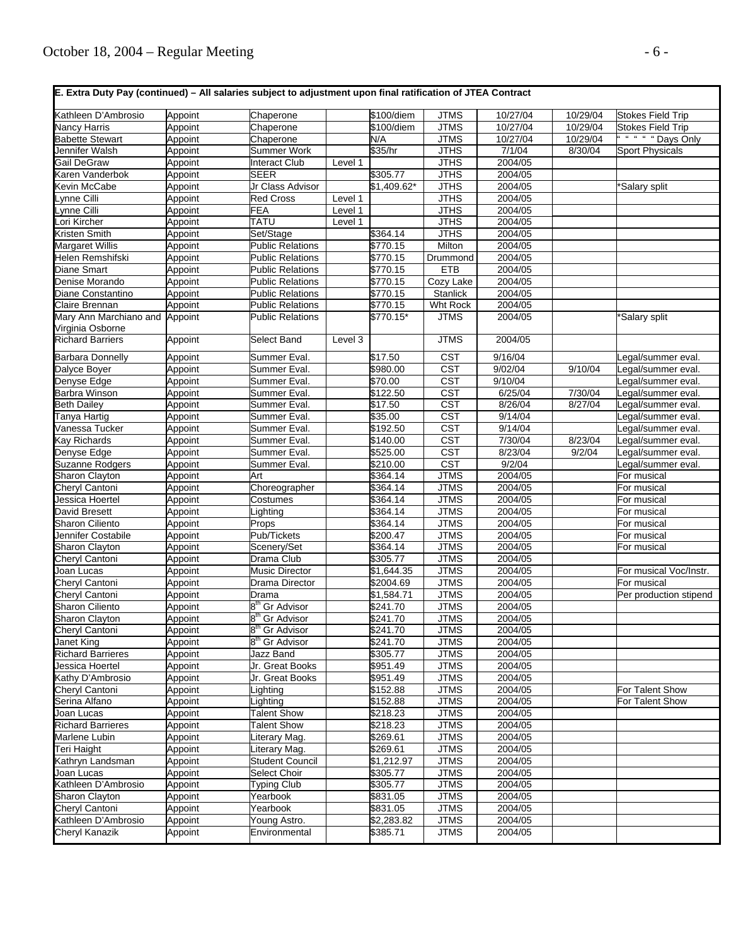| Kathleen D'Ambrosio                        | Appoint            | Chaperone                               |         | \$100/diem             | <b>JTMS</b>                | 10/27/04           | 10/29/04          | Stokes Field Trip        |
|--------------------------------------------|--------------------|-----------------------------------------|---------|------------------------|----------------------------|--------------------|-------------------|--------------------------|
| Nancy Harris                               | Appoint            | Chaperone                               |         | \$100/diem             | <b>JTMS</b>                | 10/27/04           | 10/29/04          | <b>Stokes Field Trip</b> |
| <b>Babette Stewart</b>                     | Appoint            | Chaperone                               |         | N/A                    | <b>JTMS</b>                | 10/27/04           | 10/29/04          | " " " " Days Only        |
| Jennifer Walsh                             | Appoint            | <b>Summer Work</b>                      |         | \$35/hr                | <b>JTHS</b>                | 7/1/04             | 8/30/04           | <b>Sport Physicals</b>   |
| Gail DeGraw                                | Appoint            | <b>Interact Club</b>                    | Level 1 |                        | <b>JTHS</b>                | 2004/05            |                   |                          |
| Karen Vanderbok                            | Appoint            | <b>SEER</b>                             |         | \$305.77               | <b>JTHS</b>                | 2004/05            |                   |                          |
| Kevin McCabe                               | Appoint            | Jr Class Advisor                        |         | \$1,409.62*            | <b>JTHS</b>                | 2004/05            |                   | *Salary split            |
| vnne Cilli                                 | Appoint            | Red Cross                               | Level 1 |                        | <b>JTHS</b>                | 2004/05            |                   |                          |
| Lynne Cilli                                | Appoint            | FEA                                     | Level 1 |                        | <b>JTHS</b>                | 2004/05            |                   |                          |
| Lori Kircher                               | Appoint            | TATU                                    | Level 1 |                        | <b>JTHS</b>                | 2004/05            |                   |                          |
| Kristen Smith                              | Appoint            | Set/Stage                               |         | 364.14                 | <b>JTHS</b>                | 2004/05            |                   |                          |
| <b>Margaret Willis</b>                     | Appoint            | <b>Public Relations</b>                 |         | \$770.15               | Milton                     | 2004/05            |                   |                          |
| Helen Remshifski                           | Appoint            | <b>Public Relations</b>                 |         | \$770.15               | Drummond                   | 2004/05            |                   |                          |
| Diane Smart                                | Appoint            | <b>Public Relations</b>                 |         | $\overline{$}770.15$   | <b>ETB</b>                 | 2004/05            |                   |                          |
| Denise Morando                             | Appoint            | <b>Public Relations</b>                 |         | \$770.15               | Cozy Lake                  | 2004/05            |                   |                          |
| Diane Constantino                          | Appoint            | <b>Public Relations</b>                 |         | \$770.15               | Stanlick                   | 2004/05            |                   |                          |
| Claire Brennan                             | Appoint            | <b>Public Relations</b>                 |         | $\overline{$}770.15$   | Wht Rock                   | 2004/05            |                   |                          |
| Mary Ann Marchiano and<br>Virginia Osborne | Appoint            | <b>Public Relations</b>                 |         | \$770.15*              | <b>JTMS</b>                | 2004/05            |                   | *Salary split            |
| <b>Richard Barriers</b>                    | Appoint            | Select Band                             | Level 3 |                        | <b>JTMS</b>                | 2004/05            |                   |                          |
| <b>Barbara Donnelly</b>                    | Appoint            | Summer Eval.                            |         | \$17.50                | <b>CST</b>                 | 9/16/04            |                   | Legal/summer eval.       |
| Dalyce Boyer                               | Appoint            | Summer Eval.                            |         | \$980.00               | <b>CST</b>                 | 9/02/04            | 9/10/04           | Legal/summer eval.       |
| Denyse Edge                                | Appoint            | Summer Eval.                            |         | \$70.00                | <b>CST</b>                 | 9/10/04            |                   | egal/summer eval.        |
| Barbra Winson                              | Appoint            | Summer Eval.                            |         | \$122.50               | <b>CST</b>                 | 6/25/04            | 7/30/04           | egal/summer eval.        |
| <b>Beth Dailey</b>                         | Appoint            | Summer Eval.                            |         | \$17.50                | $\overline{\text{CST}}$    | 8/26/04            | 8/27/04           | egal/summer eval.        |
| Tanya Hartig                               | Appoint            | Summer Eval.                            |         | \$35.00                | <b>CST</b>                 | 9/14/04            |                   | egal/summer eval.        |
| Vanessa Tucker                             | Appoint            | Summer Eval.                            |         | \$192.50               | $\overline{\text{CST}}$    | 9/14/04            |                   | egal/summer eval.        |
| Kay Richards                               | Appoint            | Summer Eval.                            |         | \$140.00               | CST                        | 7/30/04            | 8/23/04           | egal/summer eval.        |
| Denyse Edge                                | Appoint            | Summer Eval.                            |         | \$525.00               | <b>CST</b>                 | 8/23/04            | $\frac{9}{2}$ /04 | egal/summer eval.        |
| Suzanne Rodgers                            | Appoint            | Summer Eval.                            |         | \$210.00               | $\overline{\text{CST}}$    | 9/2/04             |                   | egal/summer eval.        |
| Sharon Clayton                             | Appoint            | Art                                     |         | \$364.14               | <b>JTMS</b>                | 2004/05            |                   | For musical              |
| Cheryl Cantoni                             | Appoint            | Choreographer                           |         | \$364.14               | <b>JTMS</b>                | 2004/05            |                   | For musical              |
| Jessica Hoertel                            | Appoint            | Costumes                                |         | \$364.14               | <b>JTMS</b>                | 2004/05            |                   | For musical              |
| David Bresett                              | Appoint            | Lighting                                |         | \$364.14               | <b>JTMS</b>                | 2004/05            |                   | For musical              |
| Sharon Ciliento                            | Appoint            | Props                                   |         | \$364.14               | <b>JTMS</b>                | 2004/05            |                   | For musical              |
| Jennifer Costabile                         | Appoint            | Pub/Tickets                             |         | \$200.47               | <b>JTMS</b>                | 2004/05            |                   | For musical              |
| Sharon Clayton                             | Appoint            | Scenery/Set                             |         | \$364.14               | <b>JTMS</b>                | 2004/05            |                   | For musical              |
| Cheryl Cantoni<br>Joan Lucas               | Appoint            | Drama Club                              |         | \$305.77<br>\$1,644.35 | <b>JTMS</b>                | 2004/05<br>2004/05 |                   | For musical Voc/Instr.   |
| Cheryl Cantoni                             | Appoint<br>Appoint | <b>Music Director</b><br>Drama Director |         | \$2004.69              | <b>JTMS</b><br><b>JTMS</b> | 2004/05            |                   | For musical              |
| Cheryl Cantoni                             | Appoint            | Drama                                   |         | \$1,584.71             | <b>JTMS</b>                | 2004/05            |                   | Per production stipend   |
| <b>Sharon Ciliento</b>                     | Appoint            | Gr Advisor                              |         | \$241.70               | <b>JTMS</b>                | 2004/05            |                   |                          |
| Sharon Clayton                             | Appoint            | 8 <sup>th</sup> Gr Advisor              |         | \$241.70               | <b>JTMS</b>                | 2004/05            |                   |                          |
| Cheryl Cantoni                             | Appoint            | 8" Gr Advisor                           |         | \$241.70               | JIMS                       | 2004/05            |                   |                          |
| Janet King                                 | Appoint            | 8 <sup>th</sup> Gr Advisor              |         | $\sqrt{$241.70}$       | <b>JTMS</b>                | 2004/05            |                   |                          |
| <b>Richard Barrieres</b>                   | Appoint            | Jazz Band                               |         | \$305.77               | <b>JTMS</b>                | 2004/05            |                   |                          |
| Jessica Hoertel                            | Appoint            | Jr. Great Books                         |         | \$951.49               | <b>JTMS</b>                | 2004/05            |                   |                          |
| Kathy D'Ambrosio                           | Appoint            | Jr. Great Books                         |         | \$951.49               | <b>JTMS</b>                | 2004/05            |                   |                          |
| Cheryl Cantoni                             | Appoint            | Lighting                                |         | \$152.88               | <b>JTMS</b>                | 2004/05            |                   | For Talent Show          |
| Serina Alfano                              | Appoint            | Lighting                                |         | \$152.88               | <b>JTMS</b>                | 2004/05            |                   | For Talent Show          |
| Joan Lucas                                 | Appoint            | <b>Talent Show</b>                      |         | \$218.23               | <b>JTMS</b>                | 2004/05            |                   |                          |
| <b>Richard Barrieres</b>                   | Appoint            | <b>Talent Show</b>                      |         | \$218.23               | <b>JTMS</b>                | 2004/05            |                   |                          |
| Marlene Lubin                              | Appoint            | iterary Mag.                            |         | \$269.61               | <b>JTMS</b>                | 2004/05            |                   |                          |
| Teri Haight                                | Appoint            | Literary Mag.                           |         | \$269.61               | <b>JTMS</b>                | 2004/05            |                   |                          |
| Kathryn Landsman                           | Appoint            | <b>Student Council</b>                  |         | \$1,212.97             | <b>JTMS</b>                | 2004/05            |                   |                          |
| Joan Lucas                                 | Appoint            | Select Choir                            |         | \$305.77               | <b>JTMS</b>                | 2004/05            |                   |                          |
| Kathleen D'Ambrosio                        | Appoint            | <b>Typing Club</b>                      |         | \$305.77               | <b>JTMS</b>                | 2004/05            |                   |                          |
| Sharon Clayton                             | Appoint            | Yearbook                                |         | \$831.05               | <b>JTMS</b>                | 2004/05            |                   |                          |
| Cheryl Cantoni                             | Appoint            | Yearbook                                |         | \$831.05               | <b>JTMS</b>                | 2004/05            |                   |                          |
| Kathleen D'Ambrosio                        | Appoint            | Young Astro.                            |         | \$2,283.82             | <b>JTMS</b>                | 2004/05            |                   |                          |
| Cheryl Kanazik                             | Appoint            | Environmental                           |         | \$385.71               | <b>JTMS</b>                | 2004/05            |                   |                          |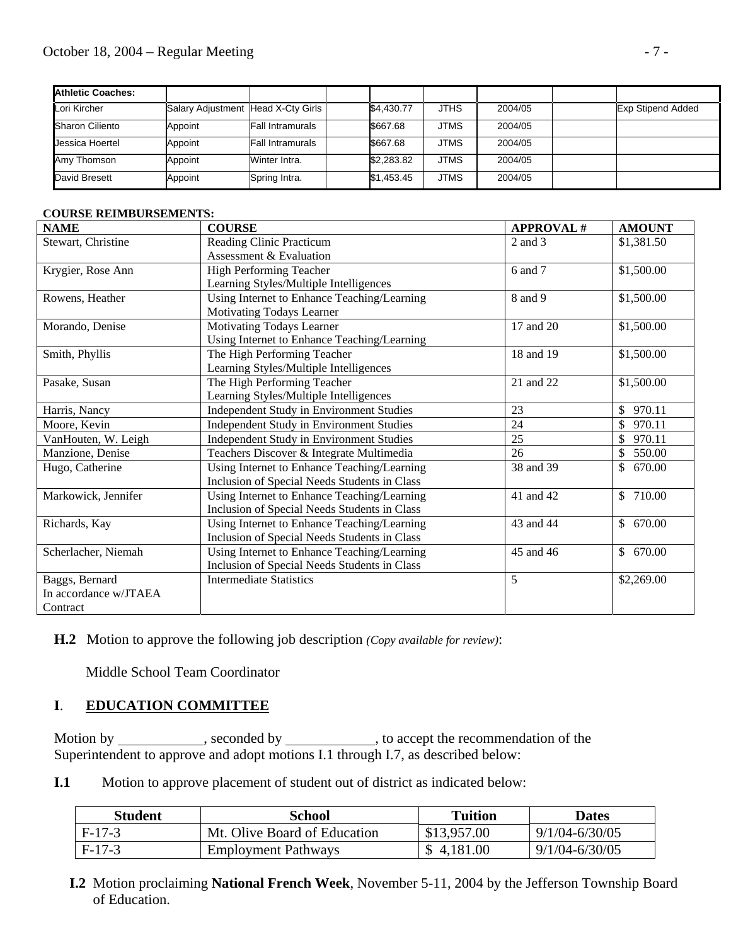| <b>Athletic Coaches:</b> |                                    |                  |            |             |         |                          |
|--------------------------|------------------------------------|------------------|------------|-------------|---------|--------------------------|
| Lori Kircher             | Salary Adjustment Head X-Cty Girls |                  | \$4.430.77 | <b>JTHS</b> | 2004/05 | <b>Exp Stipend Added</b> |
| <b>Sharon Ciliento</b>   | Appoint                            | Fall Intramurals | \$667.68   | <b>JTMS</b> | 2004/05 |                          |
| Jessica Hoertel          | Appoint                            | Fall Intramurals | \$667.68   | <b>JTMS</b> | 2004/05 |                          |
| Amy Thomson              | Appoint                            | Winter Intra.    | \$2,283.82 | <b>JTMS</b> | 2004/05 |                          |
| David Bresett            | Appoint                            | Spring Intra.    | \$1.453.45 | <b>JTMS</b> | 2004/05 |                          |

#### **COURSE REIMBURSEMENTS:**

| <b>NAME</b>           | <b>COURSE</b>                                | <b>APPROVAL#</b> | <b>AMOUNT</b>            |
|-----------------------|----------------------------------------------|------------------|--------------------------|
| Stewart, Christine    | Reading Clinic Practicum                     | 2 and 3          | \$1,381.50               |
|                       | Assessment & Evaluation                      |                  |                          |
| Krygier, Rose Ann     | <b>High Performing Teacher</b>               | 6 and 7          | \$1,500.00               |
|                       | Learning Styles/Multiple Intelligences       |                  |                          |
| Rowens, Heather       | Using Internet to Enhance Teaching/Learning  | 8 and 9          | \$1,500.00               |
|                       | Motivating Todays Learner                    |                  |                          |
| Morando, Denise       | Motivating Todays Learner                    | 17 and 20        | \$1,500.00               |
|                       | Using Internet to Enhance Teaching/Learning  |                  |                          |
| Smith, Phyllis        | The High Performing Teacher                  | 18 and 19        | \$1,500.00               |
|                       | Learning Styles/Multiple Intelligences       |                  |                          |
| Pasake, Susan         | The High Performing Teacher                  | 21 and 22        | \$1,500.00               |
|                       | Learning Styles/Multiple Intelligences       |                  |                          |
| Harris, Nancy         | Independent Study in Environment Studies     | 23               | 970.11<br>$\mathbb{S}^-$ |
| Moore, Kevin          | Independent Study in Environment Studies     | 24               | 970.11<br>\$             |
| VanHouten, W. Leigh   | Independent Study in Environment Studies     | 25               | 970.11<br>$\mathbb{S}^-$ |
| Manzione, Denise      | Teachers Discover & Integrate Multimedia     | 26               | $\mathbb{S}^-$<br>550.00 |
| Hugo, Catherine       | Using Internet to Enhance Teaching/Learning  | 38 and 39        | $\mathbb{S}$<br>670.00   |
|                       | Inclusion of Special Needs Students in Class |                  |                          |
| Markowick, Jennifer   | Using Internet to Enhance Teaching/Learning  | 41 and 42        | \$710.00                 |
|                       | Inclusion of Special Needs Students in Class |                  |                          |
| Richards, Kay         | Using Internet to Enhance Teaching/Learning  | 43 and 44        | \$670.00                 |
|                       | Inclusion of Special Needs Students in Class |                  |                          |
| Scherlacher, Niemah   | Using Internet to Enhance Teaching/Learning  | 45 and 46        | 670.00<br>\$             |
|                       | Inclusion of Special Needs Students in Class |                  |                          |
| Baggs, Bernard        | <b>Intermediate Statistics</b>               | 5                | \$2,269.00               |
| In accordance w/JTAEA |                                              |                  |                          |
| Contract              |                                              |                  |                          |

## **H.2** Motion to approve the following job description *(Copy available for review)*:

Middle School Team Coordinator

## **I**. **EDUCATION COMMITTEE**

Motion by \_\_\_\_\_\_\_\_\_\_\_\_, seconded by \_\_\_\_\_\_\_\_\_\_\_, to accept the recommendation of the Superintendent to approve and adopt motions I.1 through I.7, as described below:

**I.1** Motion to approve placement of student out of district as indicated below:

| Student  | School                       | Tuition     | Dates              |
|----------|------------------------------|-------------|--------------------|
| $F-17-3$ | Mt. Olive Board of Education | \$13,957.00 | $9/1/04 - 6/30/05$ |
| $F-17-3$ | <b>Employment Pathways</b>   | \$4.181.00  | $9/1/04 - 6/30/05$ |

 **I.2** Motion proclaiming **National French Week**, November 5-11, 2004 by the Jefferson Township Board of Education.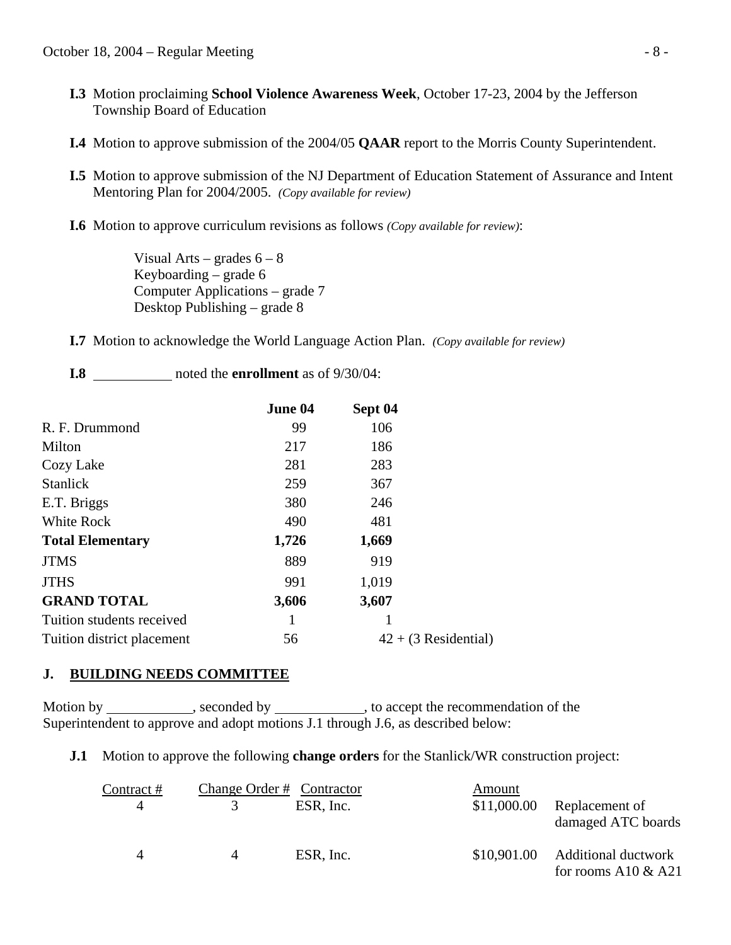- **I.3** Motion proclaiming **School Violence Awareness Week**, October 17-23, 2004 by the Jefferson Township Board of Education
- **I.4** Motion to approve submission of the 2004/05 **QAAR** report to the Morris County Superintendent.
- **I.5** Motion to approve submission of the NJ Department of Education Statement of Assurance and Intent Mentoring Plan for 2004/2005. *(Copy available for review)*
- **I.6** Motion to approve curriculum revisions as follows *(Copy available for review)*:

Visual Arts – grades  $6 - 8$  Keyboarding – grade 6 Computer Applications – grade 7 Desktop Publishing – grade 8

**I.7** Motion to acknowledge the World Language Action Plan. *(Copy available for review)*

**I.8** noted the **enrollment** as of 9/30/04:

|                            | June 04 | Sept 04                |  |
|----------------------------|---------|------------------------|--|
| R. F. Drummond             | 99      | 106                    |  |
| Milton                     | 217     | 186                    |  |
| Cozy Lake                  | 281     | 283                    |  |
| <b>Stanlick</b>            | 259     | 367                    |  |
| E.T. Briggs                | 380     | 246                    |  |
| White Rock                 | 490     | 481                    |  |
| <b>Total Elementary</b>    | 1,726   | 1,669                  |  |
| <b>JTMS</b>                | 889     | 919                    |  |
| <b>JTHS</b>                | 991     | 1,019                  |  |
| <b>GRAND TOTAL</b>         | 3,606   | 3,607                  |  |
| Tuition students received  |         |                        |  |
| Tuition district placement | 56      | $42 + (3$ Residential) |  |

## **J. BUILDING NEEDS COMMITTEE**

Motion by , seconded by , to accept the recommendation of the Superintendent to approve and adopt motions J.1 through J.6, as described below:

### **J.1** Motion to approve the following **change orders** for the Stanlick/WR construction project:

| Contract # | Change Order # Contractor |           | Amount      |                                                     |
|------------|---------------------------|-----------|-------------|-----------------------------------------------------|
|            |                           | ESR, Inc. | \$11,000.00 | Replacement of<br>damaged ATC boards                |
|            | $\overline{4}$            | ESR, Inc. | \$10,901.00 | <b>Additional ductwork</b><br>for rooms A10 $&$ A21 |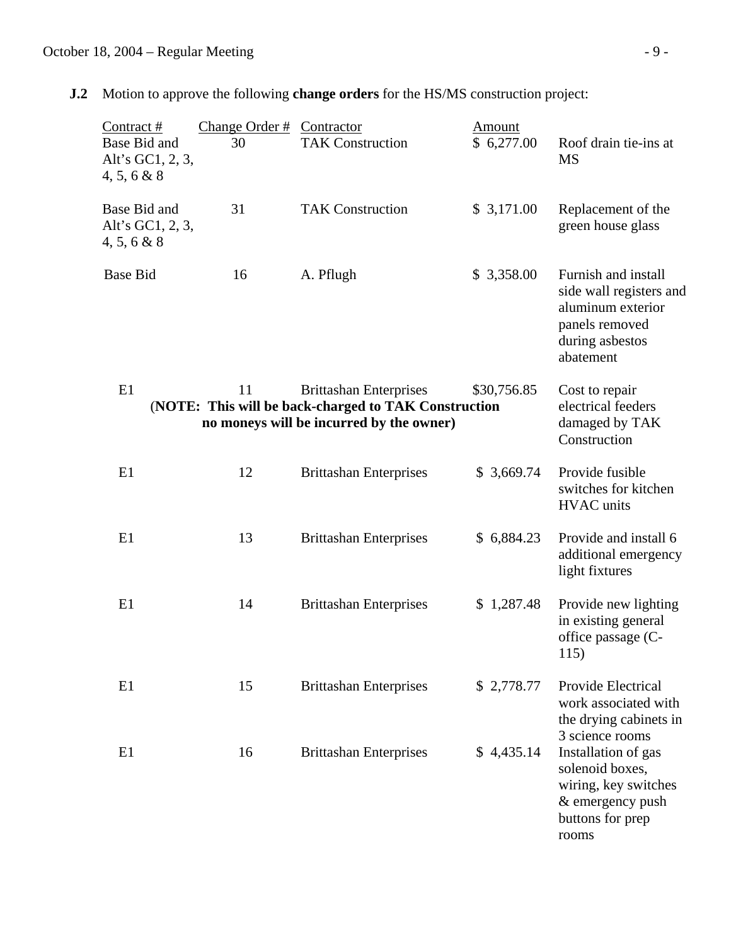**J.2** Motion to approve the following **change orders** for the HS/MS construction project:

| Contract#<br>Base Bid and<br>Alt's GC1, 2, 3,<br>4, 5, 6 & 8 | Change Order #<br>30 | Contractor<br><b>TAK Construction</b>                                                                                             | Amount<br>\$6,277.00 | Roof drain tie-ins at<br><b>MS</b>                                                                                    |
|--------------------------------------------------------------|----------------------|-----------------------------------------------------------------------------------------------------------------------------------|----------------------|-----------------------------------------------------------------------------------------------------------------------|
| Base Bid and<br>Alt's GC1, 2, 3,<br>4, 5, 6 & 8              | 31                   | <b>TAK Construction</b>                                                                                                           | \$3,171.00           | Replacement of the<br>green house glass                                                                               |
| <b>Base Bid</b>                                              | 16                   | A. Pflugh                                                                                                                         | \$3,358.00           | Furnish and install<br>side wall registers and<br>aluminum exterior<br>panels removed<br>during asbestos<br>abatement |
| E1                                                           | 11                   | <b>Brittashan Enterprises</b><br>(NOTE: This will be back-charged to TAK Construction<br>no moneys will be incurred by the owner) | \$30,756.85          | Cost to repair<br>electrical feeders<br>damaged by TAK<br>Construction                                                |
| E1                                                           | 12                   | <b>Brittashan Enterprises</b>                                                                                                     | \$3,669.74           | Provide fusible<br>switches for kitchen<br><b>HVAC</b> units                                                          |
| E1                                                           | 13                   | <b>Brittashan Enterprises</b>                                                                                                     | \$6,884.23           | Provide and install 6<br>additional emergency<br>light fixtures                                                       |
| E1                                                           | 14                   | <b>Brittashan Enterprises</b>                                                                                                     | \$1,287.48           | Provide new lighting<br>in existing general<br>office passage (C-<br>115)                                             |
| E1                                                           | 15                   | <b>Brittashan Enterprises</b>                                                                                                     | \$2,778.77           | Provide Electrical<br>work associated with<br>the drying cabinets in<br>3 science rooms                               |
| E1                                                           | 16                   | <b>Brittashan Enterprises</b>                                                                                                     | \$4,435.14           | Installation of gas<br>solenoid boxes,<br>wiring, key switches<br>& emergency push<br>buttons for prep<br>rooms       |